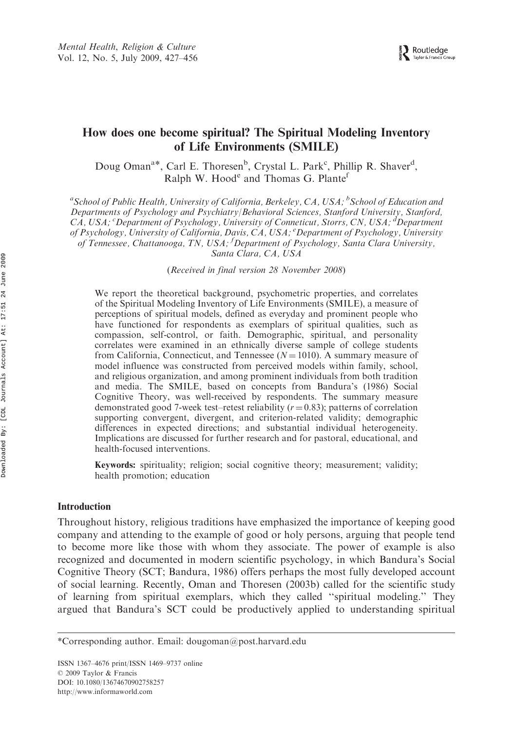# How does one become spiritual? The Spiritual Modeling Inventory of Life Environments (SMILE)

Doug Oman<sup>a\*</sup>, Carl E. Thoresen<sup>b</sup>, Crystal L. Park<sup>c</sup>, Phillip R. Shaver<sup>d</sup>, Ralph W. Hood<sup>e</sup> and Thomas G. Plante<sup>f</sup>

<sup>a</sup>School of Public Health, University of California, Berkeley, CA, USA; <sup>b</sup>School of Education ana Departments of Psychology and Psychiatry/Behavioral Sciences, Stanford University, Stanford, CA, USA; <sup>c</sup>Department of Psychology, University of Conneticut, Storrs, CN, USA; <sup>d</sup>Department of Psychology, University of California, Davis, CA, USA; <sup>e</sup> Department of Psychology, University of Tennessee, Chattanooga, TN, USA; <sup>f</sup>Department of Psychology, Santa Clara University, Santa Clara, CA, USA

(Received in final version 28 November 2008)

We report the theoretical background, psychometric properties, and correlates of the Spiritual Modeling Inventory of Life Environments (SMILE), a measure of perceptions of spiritual models, defined as everyday and prominent people who have functioned for respondents as exemplars of spiritual qualities, such as compassion, self-control, or faith. Demographic, spiritual, and personality correlates were examined in an ethnically diverse sample of college students from California, Connecticut, and Tennessee  $(N = 1010)$ . A summary measure of model influence was constructed from perceived models within family, school, and religious organization, and among prominent individuals from both tradition and media. The SMILE, based on concepts from Bandura's (1986) Social Cognitive Theory, was well-received by respondents. The summary measure demonstrated good 7-week test–retest reliability  $(r = 0.83)$ ; patterns of correlation supporting convergent, divergent, and criterion-related validity; demographic differences in expected directions; and substantial individual heterogeneity. Implications are discussed for further research and for pastoral, educational, and health-focused interventions.

Keywords: spirituality; religion; social cognitive theory; measurement; validity; health promotion; education

## Introduction

Throughout history, religious traditions have emphasized the importance of keeping good company and attending to the example of good or holy persons, arguing that people tend to become more like those with whom they associate. The power of example is also recognized and documented in modern scientific psychology, in which Bandura's Social Cognitive Theory (SCT; Bandura, 1986) offers perhaps the most fully developed account of social learning. Recently, Oman and Thoresen (2003b) called for the scientific study of learning from spiritual exemplars, which they called ''spiritual modeling.'' They argued that Bandura's SCT could be productively applied to understanding spiritual

<sup>\*</sup>Corresponding author. Email: dougoman@post.harvard.edu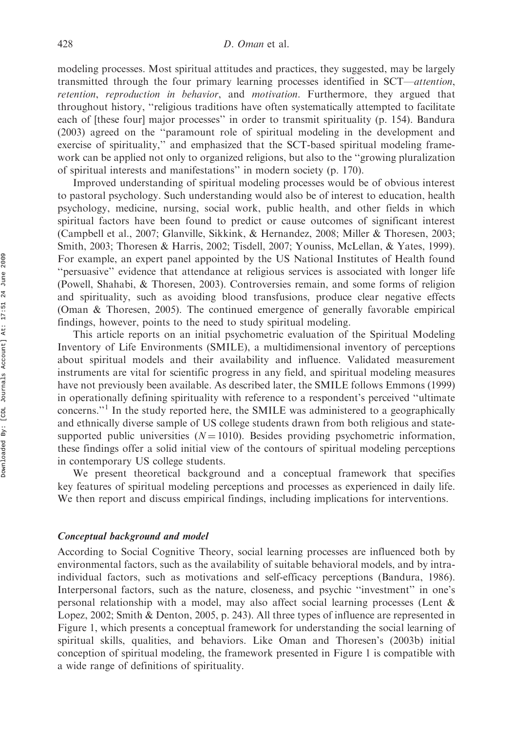modeling processes. Most spiritual attitudes and practices, they suggested, may be largely transmitted through the four primary learning processes identified in SCT—attention, retention, reproduction in behavior, and motivation. Furthermore, they argued that throughout history, ''religious traditions have often systematically attempted to facilitate each of [these four] major processes'' in order to transmit spirituality (p. 154). Bandura (2003) agreed on the ''paramount role of spiritual modeling in the development and exercise of spirituality,'' and emphasized that the SCT-based spiritual modeling framework can be applied not only to organized religions, but also to the ''growing pluralization of spiritual interests and manifestations'' in modern society (p. 170).

Improved understanding of spiritual modeling processes would be of obvious interest to pastoral psychology. Such understanding would also be of interest to education, health psychology, medicine, nursing, social work, public health, and other fields in which spiritual factors have been found to predict or cause outcomes of significant interest (Campbell et al., 2007; Glanville, Sikkink, & Hernandez, 2008; Miller & Thoresen, 2003; Smith, 2003; Thoresen & Harris, 2002; Tisdell, 2007; Youniss, McLellan, & Yates, 1999). For example, an expert panel appointed by the US National Institutes of Health found ''persuasive'' evidence that attendance at religious services is associated with longer life (Powell, Shahabi, & Thoresen, 2003). Controversies remain, and some forms of religion and spirituality, such as avoiding blood transfusions, produce clear negative effects (Oman & Thoresen, 2005). The continued emergence of generally favorable empirical findings, however, points to the need to study spiritual modeling.

This article reports on an initial psychometric evaluation of the Spiritual Modeling Inventory of Life Environments (SMILE), a multidimensional inventory of perceptions about spiritual models and their availability and influence. Validated measurement instruments are vital for scientific progress in any field, and spiritual modeling measures have not previously been available. As described later, the SMILE follows Emmons (1999) in operationally defining spirituality with reference to a respondent's perceived ''ultimate concerns.''<sup>1</sup> In the study reported here, the SMILE was administered to a geographically and ethnically diverse sample of US college students drawn from both religious and statesupported public universities  $(N = 1010)$ . Besides providing psychometric information, these findings offer a solid initial view of the contours of spiritual modeling perceptions in contemporary US college students.

We present theoretical background and a conceptual framework that specifies key features of spiritual modeling perceptions and processes as experienced in daily life. We then report and discuss empirical findings, including implications for interventions.

## Conceptual background and model

According to Social Cognitive Theory, social learning processes are influenced both by environmental factors, such as the availability of suitable behavioral models, and by intraindividual factors, such as motivations and self-efficacy perceptions (Bandura, 1986). Interpersonal factors, such as the nature, closeness, and psychic ''investment'' in one's personal relationship with a model, may also affect social learning processes (Lent & Lopez, 2002; Smith & Denton, 2005, p. 243). All three types of influence are represented in Figure 1, which presents a conceptual framework for understanding the social learning of spiritual skills, qualities, and behaviors. Like Oman and Thoresen's (2003b) initial conception of spiritual modeling, the framework presented in Figure 1 is compatible with a wide range of definitions of spirituality.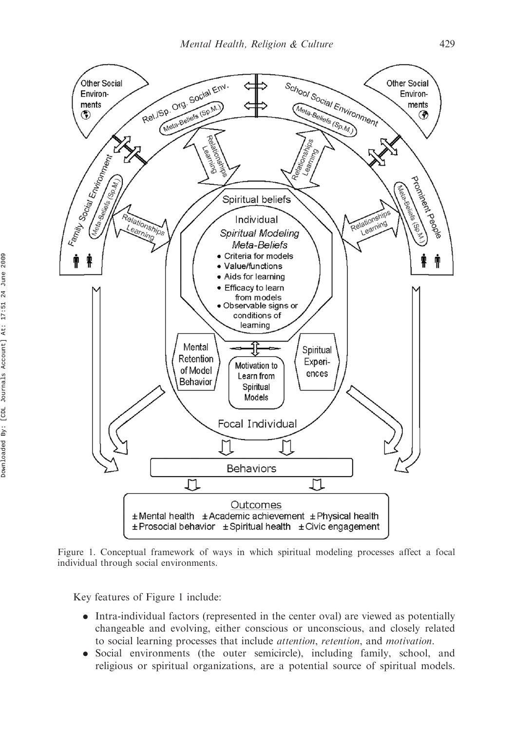

Figure 1. Conceptual framework of ways in which spiritual modeling processes affect a focal individual through social environments.

Key features of Figure 1 include:

- . Intra-individual factors (represented in the center oval) are viewed as potentially changeable and evolving, either conscious or unconscious, and closely related to social learning processes that include attention, retention, and motivation.
- . Social environments (the outer semicircle), including family, school, and religious or spiritual organizations, are a potential source of spiritual models.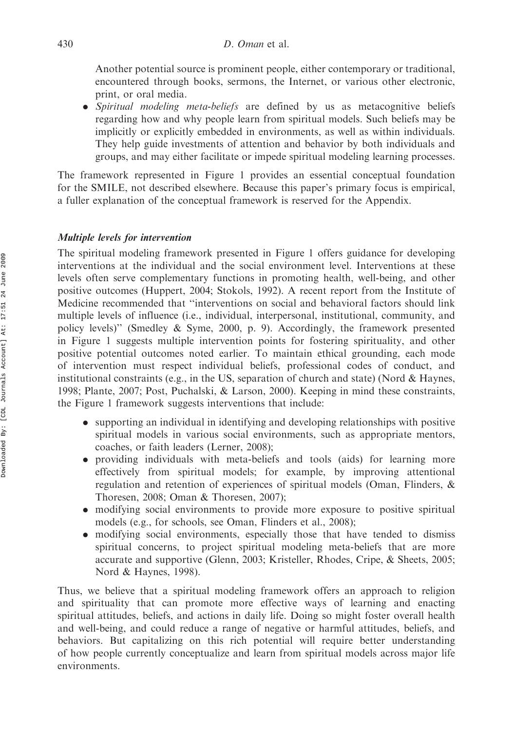Another potential source is prominent people, either contemporary or traditional, encountered through books, sermons, the Internet, or various other electronic, print, or oral media.

. Spiritual modeling meta-beliefs are defined by us as metacognitive beliefs regarding how and why people learn from spiritual models. Such beliefs may be implicitly or explicitly embedded in environments, as well as within individuals. They help guide investments of attention and behavior by both individuals and groups, and may either facilitate or impede spiritual modeling learning processes.

The framework represented in Figure 1 provides an essential conceptual foundation for the SMILE, not described elsewhere. Because this paper's primary focus is empirical, a fuller explanation of the conceptual framework is reserved for the Appendix.

## Multiple levels for intervention

The spiritual modeling framework presented in Figure 1 offers guidance for developing interventions at the individual and the social environment level. Interventions at these levels often serve complementary functions in promoting health, well-being, and other positive outcomes (Huppert, 2004; Stokols, 1992). A recent report from the Institute of Medicine recommended that ''interventions on social and behavioral factors should link multiple levels of influence (i.e., individual, interpersonal, institutional, community, and policy levels)'' (Smedley & Syme, 2000, p. 9). Accordingly, the framework presented in Figure 1 suggests multiple intervention points for fostering spirituality, and other positive potential outcomes noted earlier. To maintain ethical grounding, each mode of intervention must respect individual beliefs, professional codes of conduct, and institutional constraints (e.g., in the US, separation of church and state) (Nord  $\&$  Haynes, 1998; Plante, 2007; Post, Puchalski, & Larson, 2000). Keeping in mind these constraints, the Figure 1 framework suggests interventions that include:

- . supporting an individual in identifying and developing relationships with positive spiritual models in various social environments, such as appropriate mentors, coaches, or faith leaders (Lerner, 2008);
- . providing individuals with meta-beliefs and tools (aids) for learning more effectively from spiritual models; for example, by improving attentional regulation and retention of experiences of spiritual models (Oman, Flinders, & Thoresen, 2008; Oman & Thoresen, 2007);
- . modifying social environments to provide more exposure to positive spiritual models (e.g., for schools, see Oman, Flinders et al., 2008);
- . modifying social environments, especially those that have tended to dismiss spiritual concerns, to project spiritual modeling meta-beliefs that are more accurate and supportive (Glenn, 2003; Kristeller, Rhodes, Cripe, & Sheets, 2005; Nord & Haynes, 1998).

Thus, we believe that a spiritual modeling framework offers an approach to religion and spirituality that can promote more effective ways of learning and enacting spiritual attitudes, beliefs, and actions in daily life. Doing so might foster overall health and well-being, and could reduce a range of negative or harmful attitudes, beliefs, and behaviors. But capitalizing on this rich potential will require better understanding of how people currently conceptualize and learn from spiritual models across major life environments.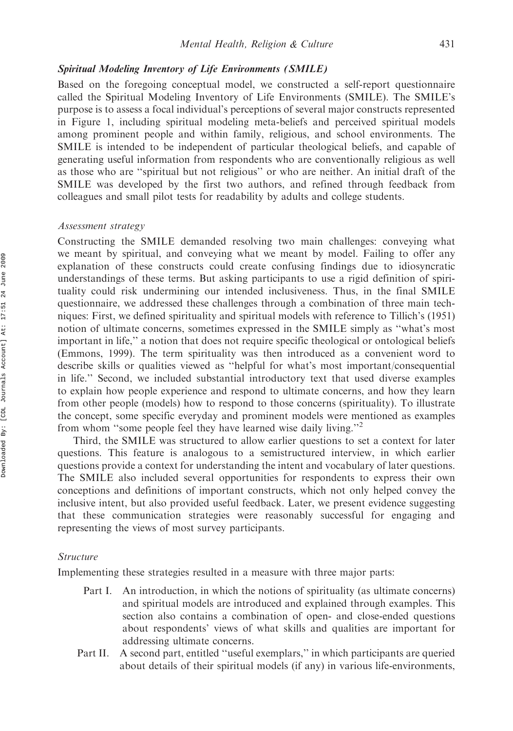## Spiritual Modeling Inventory of Life Environments (SMILE)

Based on the foregoing conceptual model, we constructed a self-report questionnaire called the Spiritual Modeling Inventory of Life Environments (SMILE). The SMILE's purpose is to assess a focal individual's perceptions of several major constructs represented in Figure 1, including spiritual modeling meta-beliefs and perceived spiritual models among prominent people and within family, religious, and school environments. The SMILE is intended to be independent of particular theological beliefs, and capable of generating useful information from respondents who are conventionally religious as well as those who are ''spiritual but not religious'' or who are neither. An initial draft of the SMILE was developed by the first two authors, and refined through feedback from colleagues and small pilot tests for readability by adults and college students.

#### Assessment strategy

Constructing the SMILE demanded resolving two main challenges: conveying what we meant by spiritual, and conveying what we meant by model. Failing to offer any explanation of these constructs could create confusing findings due to idiosyncratic understandings of these terms. But asking participants to use a rigid definition of spirituality could risk undermining our intended inclusiveness. Thus, in the final SMILE questionnaire, we addressed these challenges through a combination of three main techniques: First, we defined spirituality and spiritual models with reference to Tillich's (1951) notion of ultimate concerns, sometimes expressed in the SMILE simply as ''what's most important in life,'' a notion that does not require specific theological or ontological beliefs (Emmons, 1999). The term spirituality was then introduced as a convenient word to describe skills or qualities viewed as ''helpful for what's most important/consequential in life.'' Second, we included substantial introductory text that used diverse examples to explain how people experience and respond to ultimate concerns, and how they learn from other people (models) how to respond to those concerns (spirituality). To illustrate the concept, some specific everyday and prominent models were mentioned as examples from whom "some people feel they have learned wise daily living."<sup>2</sup>

Third, the SMILE was structured to allow earlier questions to set a context for later questions. This feature is analogous to a semistructured interview, in which earlier questions provide a context for understanding the intent and vocabulary of later questions. The SMILE also included several opportunities for respondents to express their own conceptions and definitions of important constructs, which not only helped convey the inclusive intent, but also provided useful feedback. Later, we present evidence suggesting that these communication strategies were reasonably successful for engaging and representing the views of most survey participants.

#### Structure

Implementing these strategies resulted in a measure with three major parts:

- Part I. An introduction, in which the notions of spirituality (as ultimate concerns) and spiritual models are introduced and explained through examples. This section also contains a combination of open- and close-ended questions about respondents' views of what skills and qualities are important for addressing ultimate concerns.
- Part II. A second part, entitled ''useful exemplars,'' in which participants are queried about details of their spiritual models (if any) in various life-environments,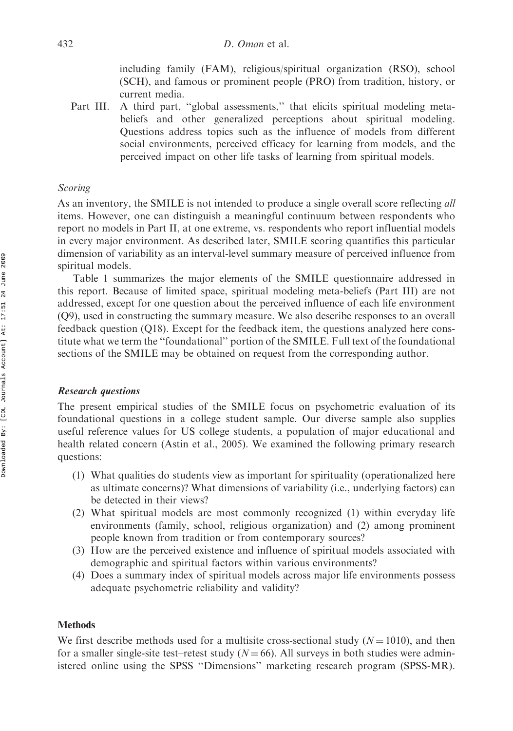including family (FAM), religious/spiritual organization (RSO), school (SCH), and famous or prominent people (PRO) from tradition, history, or current media.

Part III. A third part, "global assessments," that elicits spiritual modeling metabeliefs and other generalized perceptions about spiritual modeling. Questions address topics such as the influence of models from different social environments, perceived efficacy for learning from models, and the perceived impact on other life tasks of learning from spiritual models.

## Scoring

As an inventory, the SMILE is not intended to produce a single overall score reflecting all items. However, one can distinguish a meaningful continuum between respondents who report no models in Part II, at one extreme, vs. respondents who report influential models in every major environment. As described later, SMILE scoring quantifies this particular dimension of variability as an interval-level summary measure of perceived influence from spiritual models.

Table 1 summarizes the major elements of the SMILE questionnaire addressed in this report. Because of limited space, spiritual modeling meta-beliefs (Part III) are not addressed, except for one question about the perceived influence of each life environment (Q9), used in constructing the summary measure. We also describe responses to an overall feedback question (Q18). Except for the feedback item, the questions analyzed here constitute what we term the ''foundational'' portion of the SMILE. Full text of the foundational sections of the SMILE may be obtained on request from the corresponding author.

#### Research questions

The present empirical studies of the SMILE focus on psychometric evaluation of its foundational questions in a college student sample. Our diverse sample also supplies useful reference values for US college students, a population of major educational and health related concern (Astin et al., 2005). We examined the following primary research questions:

- (1) What qualities do students view as important for spirituality (operationalized here as ultimate concerns)? What dimensions of variability (i.e., underlying factors) can be detected in their views?
- (2) What spiritual models are most commonly recognized (1) within everyday life environments (family, school, religious organization) and (2) among prominent people known from tradition or from contemporary sources?
- (3) How are the perceived existence and influence of spiritual models associated with demographic and spiritual factors within various environments?
- (4) Does a summary index of spiritual models across major life environments possess adequate psychometric reliability and validity?

## Methods

We first describe methods used for a multisite cross-sectional study  $(N = 1010)$ , and then for a smaller single-site test–retest study ( $N = 66$ ). All surveys in both studies were administered online using the SPSS ''Dimensions'' marketing research program (SPSS-MR).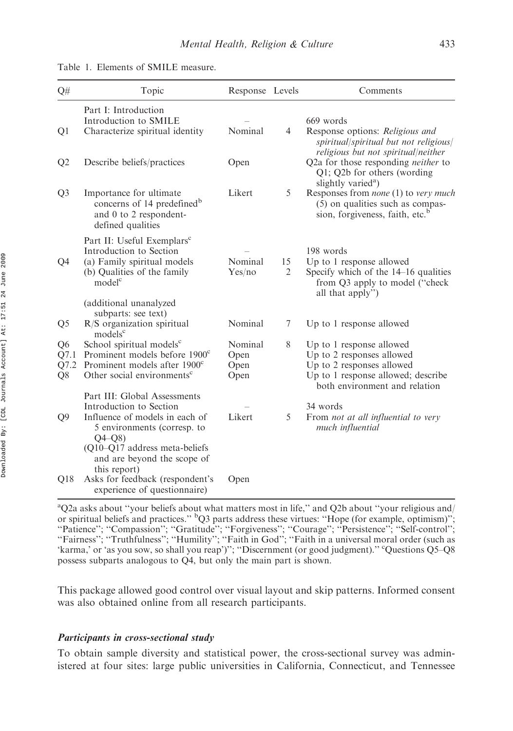Table 1. Elements of SMILE measure.

| Q#              | Topic                                                                                                            | Response Levels   |                      | Comments                                                                                                                                    |
|-----------------|------------------------------------------------------------------------------------------------------------------|-------------------|----------------------|---------------------------------------------------------------------------------------------------------------------------------------------|
| Q1              | Part I: Introduction<br>Introduction to SMILE<br>Characterize spiritual identity                                 | Nominal           | $\overline{4}$       | 669 words<br>Response options: Religious and<br>spiritual/spiritual but not religious/                                                      |
| Q <sub>2</sub>  | Describe beliefs/practices                                                                                       | Open              |                      | religious but not spiritual/neither<br>Q2a for those responding neither to<br>Q1; Q2b for others (wording<br>slightly varied <sup>a</sup> ) |
| Q <sub>3</sub>  | Importance for ultimate<br>concerns of 14 predefined <sup>b</sup><br>and 0 to 2 respondent-<br>defined qualities | Likert            | 5                    | Responses from none (1) to very much<br>(5) on qualities such as compas-<br>sion, forgiveness, faith, etc. <sup>b</sup>                     |
|                 | Part II: Useful Exemplars <sup>c</sup>                                                                           |                   |                      |                                                                                                                                             |
|                 | Introduction to Section                                                                                          |                   |                      | 198 words                                                                                                                                   |
| Q4              | (a) Family spiritual models<br>(b) Qualities of the family<br>model <sup>c</sup>                                 | Nominal<br>Yes/no | 15<br>$\overline{2}$ | Up to 1 response allowed<br>Specify which of the 14–16 qualities<br>from Q3 apply to model ("check<br>all that apply")                      |
|                 | (additional unanalyzed<br>subparts: see text)                                                                    |                   |                      |                                                                                                                                             |
| Q <sub>5</sub>  | R/S organization spiritual<br>models <sup>c</sup>                                                                | Nominal           | 7                    | Up to 1 response allowed                                                                                                                    |
| Q <sub>6</sub>  | School spiritual models <sup>c</sup>                                                                             | Nominal           | 8                    | Up to 1 response allowed                                                                                                                    |
| Q7.1            | Prominent models before 1900 <sup>c</sup>                                                                        | Open              |                      | Up to 2 responses allowed                                                                                                                   |
| Q7.2            | Prominent models after 1900 <sup>c</sup>                                                                         | Open              |                      | Up to 2 responses allowed                                                                                                                   |
| $\overline{Q8}$ | Other social environments <sup>c</sup>                                                                           | Open              |                      | Up to 1 response allowed; describe<br>both environment and relation                                                                         |
|                 | Part III: Global Assessments<br>Introduction to Section                                                          |                   |                      | 34 words                                                                                                                                    |
| Q <sub>9</sub>  | Influence of models in each of                                                                                   | Likert            | 5                    | From not at all influential to very                                                                                                         |
|                 | 5 environments (corresp. to<br>$Q4 - Q8$                                                                         |                   |                      | much influential                                                                                                                            |
|                 | (Q10-Q17 address meta-beliefs<br>and are beyond the scope of                                                     |                   |                      |                                                                                                                                             |
| Q <sub>18</sub> | this report)<br>Asks for feedback (respondent's<br>experience of questionnaire)                                  | Open              |                      |                                                                                                                                             |

<sup>a</sup>Q2a asks about "your beliefs about what matters most in life," and Q2b about "your religious and/ or spiritual beliefs and practices." <sup>b</sup>Q3 parts address these virtues: "Hope (for example, optimism)"; ''Patience''; ''Compassion''; ''Gratitude''; ''Forgiveness''; ''Courage''; ''Persistence''; ''Self-control''; ''Fairness''; ''Truthfulness''; ''Humility''; ''Faith in God''; ''Faith in a universal moral order (such as 'karma,' or 'as you sow, so shall you reap')''; ''Discernment (or good judgment).'' <sup>c</sup> Questions Q5–Q8 possess subparts analogous to Q4, but only the main part is shown.

This package allowed good control over visual layout and skip patterns. Informed consent was also obtained online from all research participants.

## Participants in cross-sectional study

To obtain sample diversity and statistical power, the cross-sectional survey was administered at four sites: large public universities in California, Connecticut, and Tennessee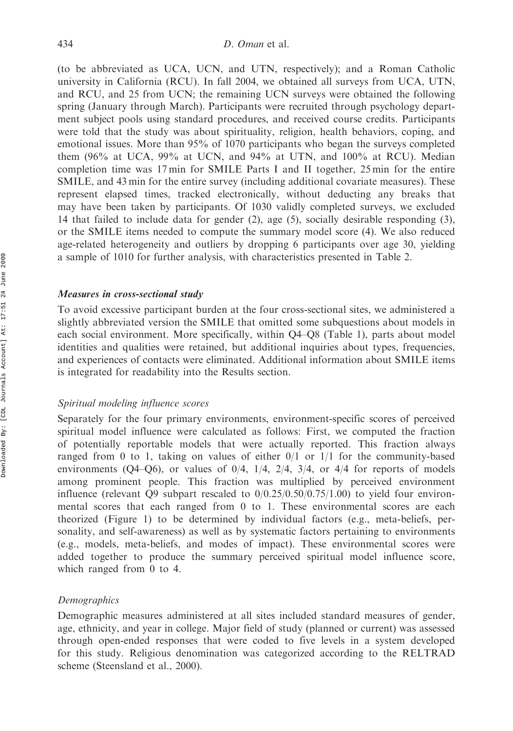(to be abbreviated as UCA, UCN, and UTN, respectively); and a Roman Catholic university in California (RCU). In fall 2004, we obtained all surveys from UCA, UTN, and RCU, and 25 from UCN; the remaining UCN surveys were obtained the following spring (January through March). Participants were recruited through psychology department subject pools using standard procedures, and received course credits. Participants were told that the study was about spirituality, religion, health behaviors, coping, and emotional issues. More than 95% of 1070 participants who began the surveys completed them (96% at UCA, 99% at UCN, and 94% at UTN, and 100% at RCU). Median completion time was 17 min for SMILE Parts I and II together, 25 min for the entire SMILE, and 43 min for the entire survey (including additional covariate measures). These represent elapsed times, tracked electronically, without deducting any breaks that may have been taken by participants. Of 1030 validly completed surveys, we excluded 14 that failed to include data for gender (2), age (5), socially desirable responding (3), or the SMILE items needed to compute the summary model score (4). We also reduced age-related heterogeneity and outliers by dropping 6 participants over age 30, yielding a sample of 1010 for further analysis, with characteristics presented in Table 2.

#### Measures in cross-sectional study

To avoid excessive participant burden at the four cross-sectional sites, we administered a slightly abbreviated version the SMILE that omitted some subquestions about models in each social environment. More specifically, within Q4–Q8 (Table 1), parts about model identities and qualities were retained, but additional inquiries about types, frequencies, and experiences of contacts were eliminated. Additional information about SMILE items is integrated for readability into the Results section.

## Spiritual modeling influence scores

Separately for the four primary environments, environment-specific scores of perceived spiritual model influence were calculated as follows: First, we computed the fraction of potentially reportable models that were actually reported. This fraction always ranged from 0 to 1, taking on values of either 0/1 or 1/1 for the community-based environments  $(Q4-Q6)$ , or values of  $0/4$ ,  $1/4$ ,  $2/4$ ,  $3/4$ , or  $4/4$  for reports of models among prominent people. This fraction was multiplied by perceived environment influence (relevant Q9 subpart rescaled to  $0/0.25/0.50/0.75/1.00$ ) to yield four environmental scores that each ranged from 0 to 1. These environmental scores are each theorized (Figure 1) to be determined by individual factors (e.g., meta-beliefs, personality, and self-awareness) as well as by systematic factors pertaining to environments (e.g., models, meta-beliefs, and modes of impact). These environmental scores were added together to produce the summary perceived spiritual model influence score, which ranged from 0 to 4.

#### Demographics

Demographic measures administered at all sites included standard measures of gender, age, ethnicity, and year in college. Major field of study (planned or current) was assessed through open-ended responses that were coded to five levels in a system developed for this study. Religious denomination was categorized according to the RELTRAD scheme (Steensland et al., 2000).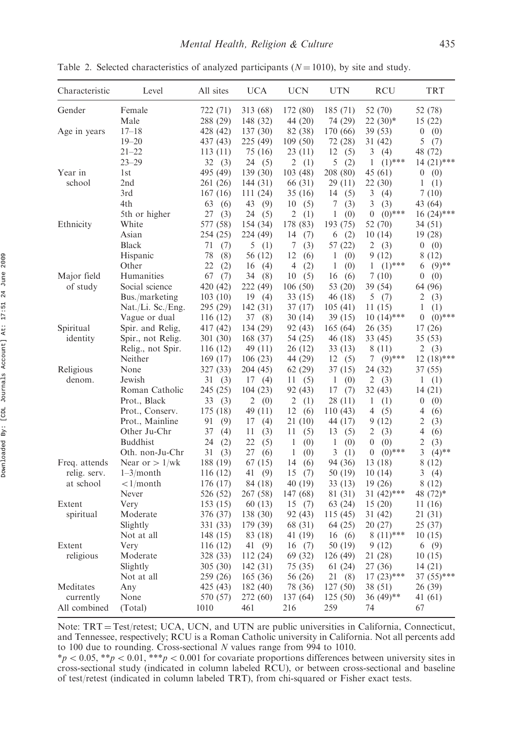| Characteristic | Level              | All sites | <b>UCA</b> | <b>UCN</b>            | <b>UTN</b> | RCU                           | TRT                         |
|----------------|--------------------|-----------|------------|-----------------------|------------|-------------------------------|-----------------------------|
| Gender         | Female             | 722 (71)  | 313 (68)   | 172 (80)              | 185 (71)   | 52 (70)                       | 52 (78)                     |
|                | Male               | 288 (29)  | 148 (32)   | 44 (20)               | 74 (29)    | $22(30)*$                     | 15(22)                      |
| Age in years   | $17 - 18$          | 428 (42)  | 137 (30)   | 82 (38)               | 170 (66)   | 39 (53)                       | $\boldsymbol{0}$<br>(0)     |
|                | $19 - 20$          | 437 (43)  | 225 (49)   | 109 (50)              | 72 (28)    | 31 (42)                       | 5<br>(7)                    |
|                | $21 - 22$          | 113(11)   | 75 (16)    | 23 (11)               | 12<br>(5)  | 3<br>(4)                      | 48 (72)                     |
|                | $23 - 29$          | 32(3)     | 24 (5)     | 2(1)                  | 5<br>(2)   | $(1)$ ***<br>1                | $14(21)$ ***                |
| Year in        | 1st                | 495 (49)  | 139 (30)   | 103(48)               | 208 (80)   | 45 (61)                       | 0<br>(0)                    |
| school         | 2nd                | 261 (26)  | 144 (31)   | 66 (31)               | 29 (11)    | 22 (30)                       | 1<br>(1)                    |
|                | 3rd                | 167(16)   | 111(24)    | 35 (16)               | 14<br>(5)  | 3<br>(4)                      | 7(10)                       |
|                | 4th                | 63<br>(6) | 43<br>(9)  | 10<br>(5)             | 7<br>(3)   | 3<br>(3)                      | 43 (64)                     |
|                | 5th or higher      | 27<br>(3) | 24<br>(5)  | 2<br>(1)              | 1<br>(0)   | $(0)$ ***<br>$\boldsymbol{0}$ | $16(24)$ ***                |
| Ethnicity      | White              | 577 (58)  | 154 (34)   | 178 (83)              | 193 (75)   | 52 (70)                       | 34 (51)                     |
|                | Asian              | 254 (25)  | 224 (49)   | (7)<br>14             | (2)<br>6   | 10(14)                        | 19 (28)                     |
|                | Black              | 71<br>(7) | 5<br>(1)   | 7<br>(3)              | 57 (22)    | 2<br>(3)                      | 0<br>(0)                    |
|                | Hispanic           | 78<br>(8) | 56 (12)    | 12<br>(6)             | (0)<br>1   | 9(12)                         | 8(12)                       |
|                | Other              | 22<br>(2) | 16<br>(4)  | $\overline{4}$<br>(2) | 1<br>(0)   | $(1)$ ***<br>1                | $(9)$ **<br>6               |
| Major field    | Humanities         | 67<br>(7) | 34<br>(8)  | 10<br>(5)             | 16<br>(6)  | 7 (10)                        | $\overline{0}$<br>(0)       |
| of study       | Social science     | 420 (42)  | 222 (49)   | 106(50)               | 53 (20)    | 39 (54)                       | 64 (96)                     |
|                | Bus./marketing     | 103(10)   | 19<br>(4)  | 33 (15)               | 46 (18)    | 5<br>(7)                      | $\overline{c}$<br>(3)       |
|                | Nat./Li. Sc./Eng.  | 295 (29)  | 142(31)    | 37(17)                | 105(41)    | 11 (15)                       | $\mathbf{1}$<br>(1)         |
|                | Vague or dual      | 116 (12)  | 37<br>(8)  | 30(14)                | 39 (15)    | $10(14)$ ***                  | $(0)$ ***<br>$\overline{0}$ |
| Spiritual      | Spir. and Relig,   | 417 (42)  | 134 (29)   | 92 (43)               | 165 (64)   | 26 (35)                       | 17(26)                      |
| identity       | Spir., not Relig.  | 301 (30)  | 168 (37)   | 54 (25)               | 46 (18)    | 33 (45)                       | 35(53)                      |
|                | Relig., not Spir.  | 116 (12)  | 49 (11)    | 26 (12)               | 33 (13)    | 8 (11)                        | 2<br>(3)                    |
|                | Neither            | 169(17)   | 106(23)    | 44 (29)               | 12<br>(5)  | $(9)$ ***<br>7                | $12(18)$ ***                |
| Religious      | None               | 327 (33)  | 204 (45)   | 62(29)                | 37 (15)    | 24 (32)                       | 37(55)                      |
| denom.         | Jewish             | 31<br>(3) | 17<br>(4)  | 11<br>(5)             | 1<br>(0)   | 2<br>(3)                      | 1<br>(1)                    |
|                | Roman Catholic     | 245 (25)  | 104(23)    | 92 (43)               | 17<br>(7)  | 32 (43)                       | 14(21)                      |
|                | Prot., Black       | 33<br>(3) | 2<br>(0)   | 2<br>(1)              | 28 (11)    | 1<br>(1)                      | $\boldsymbol{0}$<br>(0)     |
|                | Prot., Conserv.    | 175 (18)  | 49 (11)    | 12<br>(6)             | 110 (43)   | 4<br>(5)                      | 4<br>(6)                    |
|                | Prot., Mainline    | 91<br>(9) | 17<br>(4)  | 21 (10)               | 44 (17)    | 9 (12)                        | 2<br>(3)                    |
|                | Other Ju-Chr       | 37<br>(4) | (3)<br>11  | (5)<br>11             | (5)<br>13  | 2<br>(3)                      | 4<br>(6)                    |
|                | <b>Buddhist</b>    | 24<br>(2) | 22<br>(5)  | 1<br>(0)              | 1<br>(0)   | $\overline{0}$<br>(0)         | 2<br>(3)                    |
|                | Oth. non-Ju-Chr    | 31<br>(3) | 27<br>(6)  | $\mathbf{1}$<br>(0)   | 3<br>(1)   | $(0)$ ***<br>$\boldsymbol{0}$ | 3<br>$(4)$ **               |
| Freq. attends  | Near or $> 1$ /wk  | 188 (19)  | 67 (15)    | 14<br>(6)             | 94 (36)    | 13 (18)                       | 8 (12)                      |
| relig. serv.   | $1 - 3$ /month     | 116 (12)  | 41<br>(9)  | 15<br>(7)             | 50 (19)    | 10(14)                        | 3<br>(4)                    |
| at school      | $\langle 1/m$ onth | 176 (17)  | 84 (18)    | 40 (19)               | 33(13)     | 19 (26)                       | 8(12)                       |
|                | Never              | 526 (52)  | 267 (58)   | 147 (68)              | 81 (31)    | $31 (42)$ ***                 | 48 (72)*                    |
| Extent         | Very               | 153 (15)  | 60 (13)    | 15<br>(7)             | 63 (24)    | 15(20)                        | 11 (16)                     |
| spiritual      | Moderate           | 376 (37)  | 138 (30)   | 92 (43)               | 115 (45)   | 31 (42)                       | 21 (31)                     |
|                | Slightly           | 331 (33)  | 179 (39)   | 68 (31)               | 64 (25)    | 20 (27)                       | 25 (37)                     |
|                | Not at all         | 148 (15)  | 83 (18)    | 41 (19)               | 16(6)      | $8(11)$ ***                   | 10(15)                      |
| Extent         | Very               | 116 (12)  | 41<br>(9)  | 16(7)                 | 50 (19)    | 9 (12)                        | 6 (9)                       |
| religious      | Moderate           | 328 (33)  | 112(24)    | 69 (32)               | 126 (49)   | 21 (28)                       | 10(15)                      |
|                | Slightly           | 305 (30)  | 142(31)    | 75 (35)               | 61 (24)    | 27 (36)                       | 14 (21)                     |
|                | Not at all         | 259 (26)  | 165(36)    | 56 (26)               | 21<br>(8)  | $17(23)$ ***                  | 37 (55)***                  |
| Meditates      | Any                | 425 (43)  | 182 (40)   | 78 (36)               | 127 (50)   | 38 (51)                       | 26 (39)                     |
| currently      | None               | 570 (57)  | 272 (60)   | 137 (64)              | 125 (50)   | 36 (49)**                     | 41 (61)                     |
| All combined   | (Total)            | 1010      | 461        | 216                   | 259        | 74                            | 67                          |

Table 2. Selected characteristics of analyzed participants ( $N = 1010$ ), by site and study.

Note: TRT = Test/retest; UCA, UCN, and UTN are public universities in California, Connecticut, and Tennessee, respectively; RCU is a Roman Catholic university in California. Not all percents add to 100 due to rounding. Cross-sectional N values range from 994 to 1010.

 $*p < 0.05$ ,  $**p < 0.01$ ,  $**p < 0.001$  for covariate proportions differences between university sites in cross-sectional study (indicated in column labeled RCU), or between cross-sectional and baseline of test/retest (indicated in column labeled TRT), from chi-squared or Fisher exact tests.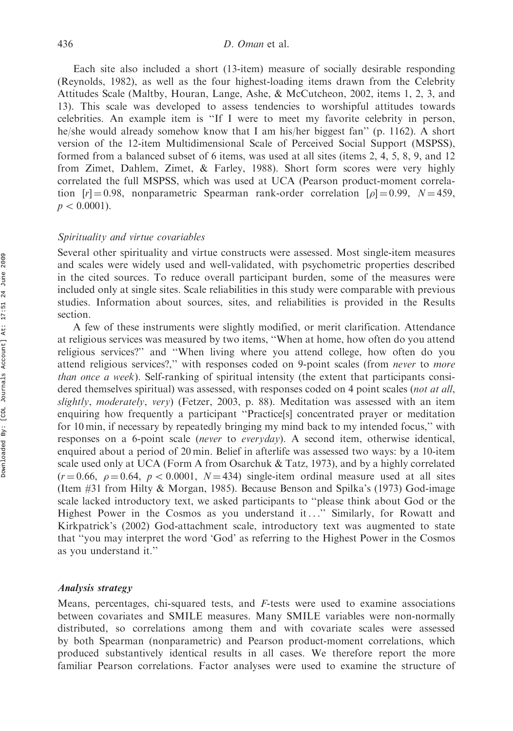Each site also included a short (13-item) measure of socially desirable responding (Reynolds, 1982), as well as the four highest-loading items drawn from the Celebrity Attitudes Scale (Maltby, Houran, Lange, Ashe, & McCutcheon, 2002, items 1, 2, 3, and 13). This scale was developed to assess tendencies to worshipful attitudes towards celebrities. An example item is ''If I were to meet my favorite celebrity in person, he/she would already somehow know that I am his/her biggest fan'' (p. 1162). A short version of the 12-item Multidimensional Scale of Perceived Social Support (MSPSS), formed from a balanced subset of 6 items, was used at all sites (items 2, 4, 5, 8, 9, and 12 from Zimet, Dahlem, Zimet, & Farley, 1988). Short form scores were very highly correlated the full MSPSS, which was used at UCA (Pearson product-moment correlation  $[r] = 0.98$ , nonparametric Spearman rank-order correlation  $[\rho] = 0.99$ ,  $N = 459$ ,  $p<0.0001$ ).

#### Spirituality and virtue covariables

Several other spirituality and virtue constructs were assessed. Most single-item measures and scales were widely used and well-validated, with psychometric properties described in the cited sources. To reduce overall participant burden, some of the measures were included only at single sites. Scale reliabilities in this study were comparable with previous studies. Information about sources, sites, and reliabilities is provided in the Results section.

A few of these instruments were slightly modified, or merit clarification. Attendance at religious services was measured by two items, ''When at home, how often do you attend religious services?'' and ''When living where you attend college, how often do you attend religious services?,'' with responses coded on 9-point scales (from never to more than once a week). Self-ranking of spiritual intensity (the extent that participants considered themselves spiritual) was assessed, with responses coded on 4 point scales (not at all, slightly, moderately, very) (Fetzer, 2003, p. 88). Meditation was assessed with an item enquiring how frequently a participant ''Practice[s] concentrated prayer or meditation for 10 min, if necessary by repeatedly bringing my mind back to my intended focus,'' with responses on a 6-point scale (never to everyday). A second item, otherwise identical, enquired about a period of 20 min. Belief in afterlife was assessed two ways: by a 10-item scale used only at UCA (Form A from Osarchuk & Tatz, 1973), and by a highly correlated  $(r=0.66, \rho=0.64, p<0.0001, N=434)$  single-item ordinal measure used at all sites (Item #31 from Hilty & Morgan, 1985). Because Benson and Spilka's (1973) God-image scale lacked introductory text, we asked participants to ''please think about God or the Highest Power in the Cosmos as you understand it ...'' Similarly, for Rowatt and Kirkpatrick's (2002) God-attachment scale, introductory text was augmented to state that ''you may interpret the word 'God' as referring to the Highest Power in the Cosmos as you understand it.''

#### Analysis strategy

Means, percentages, chi-squared tests, and F-tests were used to examine associations between covariates and SMILE measures. Many SMILE variables were non-normally distributed, so correlations among them and with covariate scales were assessed by both Spearman (nonparametric) and Pearson product-moment correlations, which produced substantively identical results in all cases. We therefore report the more familiar Pearson correlations. Factor analyses were used to examine the structure of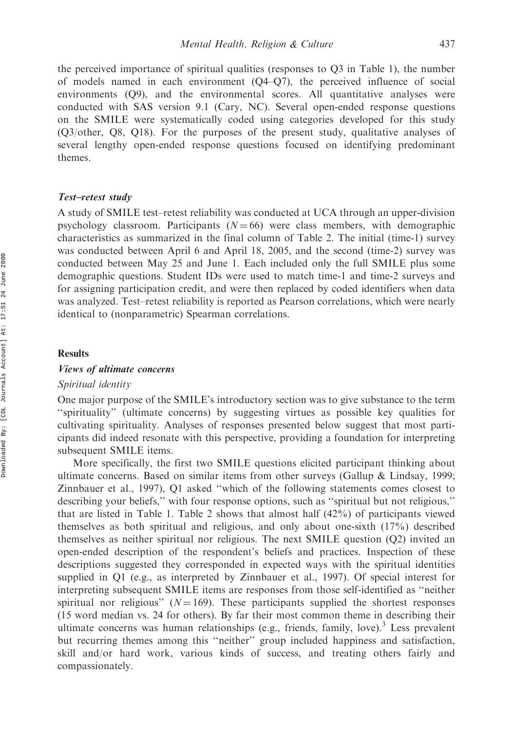the perceived importance of spiritual qualities (responses to Q3 in Table 1), the number of models named in each environment (Q4–Q7), the perceived influence of social environments (Q9), and the environmental scores. All quantitative analyses were conducted with SAS version 9.1 (Cary, NC). Several open-ended response questions on the SMILE were systematically coded using categories developed for this study (Q3/other, Q8, Q18). For the purposes of the present study, qualitative analyses of several lengthy open-ended response questions focused on identifying predominant themes.

#### Test–retest study

A study of SMILE test–retest reliability was conducted at UCA through an upper-division psychology classroom. Participants  $(N = 66)$  were class members, with demographic characteristics as summarized in the final column of Table 2. The initial (time-1) survey was conducted between April 6 and April 18, 2005, and the second (time-2) survey was conducted between May 25 and June 1. Each included only the full SMILE plus some demographic questions. Student IDs were used to match time-1 and time-2 surveys and for assigning participation credit, and were then replaced by coded identifiers when data was analyzed. Test–retest reliability is reported as Pearson correlations, which were nearly identical to (nonparametric) Spearman correlations.

## **Results**

## Views of ultimate concerns

#### Spiritual identity

One major purpose of the SMILE's introductory section was to give substance to the term ''spirituality'' (ultimate concerns) by suggesting virtues as possible key qualities for cultivating spirituality. Analyses of responses presented below suggest that most participants did indeed resonate with this perspective, providing a foundation for interpreting subsequent SMILE items.

More specifically, the first two SMILE questions elicited participant thinking about ultimate concerns. Based on similar items from other surveys (Gallup & Lindsay, 1999; Zinnbauer et al., 1997), Q1 asked ''which of the following statements comes closest to describing your beliefs,'' with four response options, such as ''spiritual but not religious,'' that are listed in Table 1. Table 2 shows that almost half (42%) of participants viewed themselves as both spiritual and religious, and only about one-sixth (17%) described themselves as neither spiritual nor religious. The next SMILE question (Q2) invited an open-ended description of the respondent's beliefs and practices. Inspection of these descriptions suggested they corresponded in expected ways with the spiritual identities supplied in Q1 (e.g., as interpreted by Zinnbauer et al., 1997). Of special interest for interpreting subsequent SMILE items are responses from those self-identified as ''neither spiritual nor religious" ( $N = 169$ ). These participants supplied the shortest responses (15 word median vs. 24 for others). By far their most common theme in describing their ultimate concerns was human relationships (e.g., friends, family, love).<sup>3</sup> Less prevalent but recurring themes among this ''neither'' group included happiness and satisfaction, skill and/or hard work, various kinds of success, and treating others fairly and compassionately.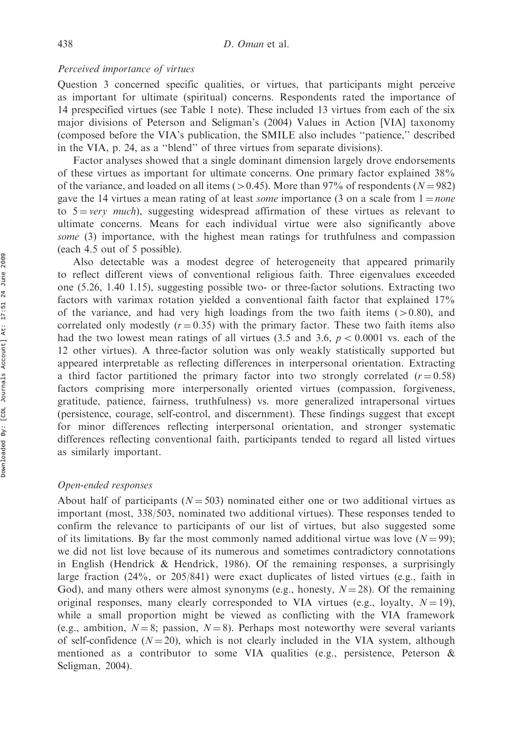## Perceived importance of virtues

Question 3 concerned specific qualities, or virtues, that participants might perceive as important for ultimate (spiritual) concerns. Respondents rated the importance of 14 prespecified virtues (see Table 1 note). These included 13 virtues from each of the six major divisions of Peterson and Seligman's (2004) Values in Action [VIA] taxonomy (composed before the VIA's publication, the SMILE also includes ''patience,'' described in the VIA, p. 24, as a ''blend'' of three virtues from separate divisions).

Factor analyses showed that a single dominant dimension largely drove endorsements of these virtues as important for ultimate concerns. One primary factor explained 38% of the variance, and loaded on all items ( $> 0.45$ ). More than 97% of respondents ( $N = 982$ ) gave the 14 virtues a mean rating of at least *some* importance (3 on a scale from  $1 = none$ to  $5 = very$  much), suggesting widespread affirmation of these virtues as relevant to ultimate concerns. Means for each individual virtue were also significantly above some (3) importance, with the highest mean ratings for truthfulness and compassion (each 4.5 out of 5 possible).

Also detectable was a modest degree of heterogeneity that appeared primarily to reflect different views of conventional religious faith. Three eigenvalues exceeded one (5.26, 1.40 1.15), suggesting possible two- or three-factor solutions. Extracting two factors with varimax rotation yielded a conventional faith factor that explained 17% of the variance, and had very high loadings from the two faith items  $(>0.80)$ , and correlated only modestly  $(r = 0.35)$  with the primary factor. These two faith items also had the two lowest mean ratings of all virtues (3.5 and 3.6,  $p < 0.0001$  vs. each of the 12 other virtues). A three-factor solution was only weakly statistically supported but appeared interpretable as reflecting differences in interpersonal orientation. Extracting a third factor partitioned the primary factor into two strongly correlated  $(r = 0.58)$ factors comprising more interpersonally oriented virtues (compassion, forgiveness, gratitude, patience, fairness, truthfulness) vs. more generalized intrapersonal virtues (persistence, courage, self-control, and discernment). These findings suggest that except for minor differences reflecting interpersonal orientation, and stronger systematic differences reflecting conventional faith, participants tended to regard all listed virtues as similarly important.

#### Open-ended responses

About half of participants ( $N = 503$ ) nominated either one or two additional virtues as important (most, 338/503, nominated two additional virtues). These responses tended to confirm the relevance to participants of our list of virtues, but also suggested some of its limitations. By far the most commonly named additional virtue was love  $(N = 99)$ ; we did not list love because of its numerous and sometimes contradictory connotations in English (Hendrick & Hendrick, 1986). Of the remaining responses, a surprisingly large fraction (24%, or 205/841) were exact duplicates of listed virtues (e.g., faith in God), and many others were almost synonyms (e.g., honesty,  $N = 28$ ). Of the remaining original responses, many clearly corresponded to VIA virtues (e.g., loyalty,  $N = 19$ ), while a small proportion might be viewed as conflicting with the VIA framework (e.g., ambition,  $N=8$ ; passion,  $N=8$ ). Perhaps most noteworthy were several variants of self-confidence  $(N = 20)$ , which is not clearly included in the VIA system, although mentioned as a contributor to some VIA qualities (e.g., persistence, Peterson  $\&$ Seligman, 2004).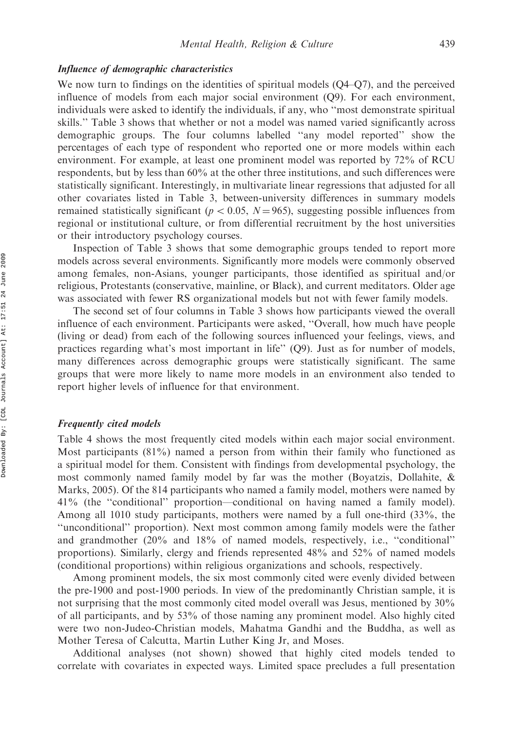## Influence of demographic characteristics

We now turn to findings on the identities of spiritual models (O4–O7), and the perceived influence of models from each major social environment (Q9). For each environment, individuals were asked to identify the individuals, if any, who ''most demonstrate spiritual skills.'' Table 3 shows that whether or not a model was named varied significantly across demographic groups. The four columns labelled ''any model reported'' show the percentages of each type of respondent who reported one or more models within each environment. For example, at least one prominent model was reported by 72% of RCU respondents, but by less than 60% at the other three institutions, and such differences were statistically significant. Interestingly, in multivariate linear regressions that adjusted for all other covariates listed in Table 3, between-university differences in summary models remained statistically significant ( $p < 0.05$ ,  $N = 965$ ), suggesting possible influences from regional or institutional culture, or from differential recruitment by the host universities or their introductory psychology courses.

Inspection of Table 3 shows that some demographic groups tended to report more models across several environments. Significantly more models were commonly observed among females, non-Asians, younger participants, those identified as spiritual and/or religious, Protestants (conservative, mainline, or Black), and current meditators. Older age was associated with fewer RS organizational models but not with fewer family models.

The second set of four columns in Table 3 shows how participants viewed the overall influence of each environment. Participants were asked, ''Overall, how much have people (living or dead) from each of the following sources influenced your feelings, views, and practices regarding what's most important in life'' (Q9). Just as for number of models, many differences across demographic groups were statistically significant. The same groups that were more likely to name more models in an environment also tended to report higher levels of influence for that environment.

#### Frequently cited models

Table 4 shows the most frequently cited models within each major social environment. Most participants  $(81\%)$  named a person from within their family who functioned as a spiritual model for them. Consistent with findings from developmental psychology, the most commonly named family model by far was the mother (Boyatzis, Dollahite, & Marks, 2005). Of the 814 participants who named a family model, mothers were named by 41% (the ''conditional'' proportion—conditional on having named a family model). Among all 1010 study participants, mothers were named by a full one-third (33%, the ''unconditional'' proportion). Next most common among family models were the father and grandmother (20% and 18% of named models, respectively, i.e., ''conditional'' proportions). Similarly, clergy and friends represented 48% and 52% of named models (conditional proportions) within religious organizations and schools, respectively.

Among prominent models, the six most commonly cited were evenly divided between the pre-1900 and post-1900 periods. In view of the predominantly Christian sample, it is not surprising that the most commonly cited model overall was Jesus, mentioned by 30% of all participants, and by 53% of those naming any prominent model. Also highly cited were two non-Judeo-Christian models, Mahatma Gandhi and the Buddha, as well as Mother Teresa of Calcutta, Martin Luther King Jr, and Moses.

Additional analyses (not shown) showed that highly cited models tended to correlate with covariates in expected ways. Limited space precludes a full presentation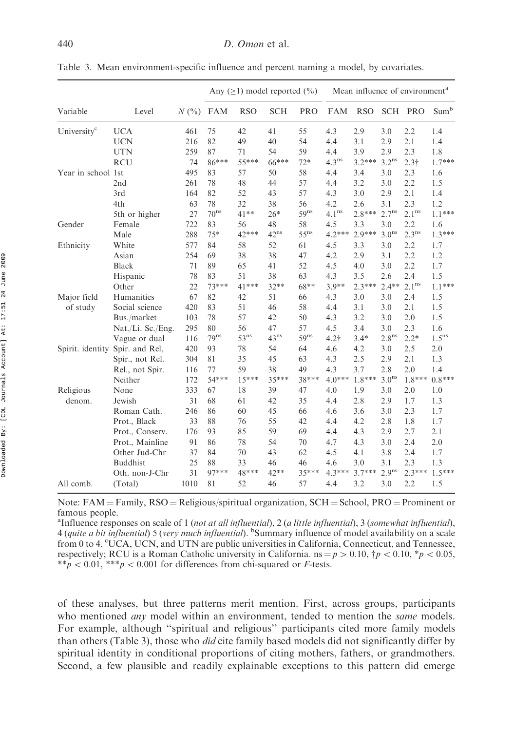|                         |                   |         | Any $(\geq 1)$ model reported $(\% )$ |            |                  | Mean influence of environment <sup>a</sup> |                   |            |                   |                   |                   |
|-------------------------|-------------------|---------|---------------------------------------|------------|------------------|--------------------------------------------|-------------------|------------|-------------------|-------------------|-------------------|
| Variable                | Level             | $N($ %) | FAM                                   | <b>RSO</b> | <b>SCH</b>       | <b>PRO</b>                                 | FAM               | <b>RSO</b> |                   | SCH PRO           | Sum <sup>b</sup>  |
| University <sup>c</sup> | <b>UCA</b>        | 461     | 75                                    | 42         | 41               | 55                                         | 4.3               | 2.9        | 3.0               | 2.2               | 1.4               |
|                         | <b>UCN</b>        | 216     | 82                                    | 49         | 40               | 54                                         | 4.4               | 3.1        | 2.9               | 2.1               | 1.4               |
|                         | <b>UTN</b>        | 259     | 87                                    | 71         | 54               | 59                                         | 4.4               | 3.9        | 2.9               | 2.3               | 1.8               |
|                         | <b>RCU</b>        | 74      | 86***                                 | 55***      | 66***            | $72*$                                      | 4.3 <sup>ns</sup> | $3.2***$   | $3.2^{ns}$        | $2.3\dagger$      | $1.7***$          |
| Year in school 1st      |                   | 495     | 83                                    | 57         | 50               | 58                                         | 4.4               | 3.4        | 3.0               | 2.3               | 1.6               |
|                         | 2nd               | 261     | 78                                    | 48         | 44               | 57                                         | 4.4               | 3.2        | 3.0               | 2.2               | 1.5               |
|                         | 3rd               | 164     | 82                                    | 52         | 43               | 57                                         | 4.3               | 3.0        | 2.9               | 2.1               | 1.4               |
|                         | 4th               | 63      | 78                                    | 32         | 38               | 56                                         | 4.2               | 2.6        | 3.1               | 2.3               | 1.2               |
|                         | 5th or higher     | 27      | $70^{\text{ns}}$                      | $41***$    | $26*$            | $59^{ns}$                                  | 4.1 <sup>ns</sup> | $2.8***$   | $2.7^{\text{ns}}$ | 2.1 <sup>ns</sup> | $1.1***$          |
| Gender                  | Female            | 722     | 83                                    | 56         | 48               | 58                                         | 4.5               | 3.3        | 3.0               | 2.2               | 1.6               |
|                         | Male              | 288     | $75*$                                 | 42***      | $42^{ns}$        | $55^{ns}$                                  | $4.2***$          | $2.9***$   | 3.0 <sup>ns</sup> | 2.3 <sup>ns</sup> | $1.3***$          |
| Ethnicity               | White             | 577     | 84                                    | 58         | 52               | 61                                         | 4.5               | 3.3        | 3.0               | 2.2               | 1.7               |
|                         | Asian             | 254     | 69                                    | 38         | 38               | 47                                         | 4.2               | 2.9        | 3.1               | 2.2               | 1.2               |
|                         | Black             | 71      | 89                                    | 65         | 41               | 52                                         | 4.5               | 4.0        | 3.0               | 2.2               | 1.7               |
|                         | Hispanic          | 78      | 83                                    | 51         | 38               | 63                                         | 4.3               | 3.5        | 2.6               | 2.4               | 1.5               |
|                         | Other             | 22      | $73***$                               | $41***$    | $32**$           | 68**                                       | $3.9**$           | $2.3***$   | $2.4**$           | 2.1 <sup>ns</sup> | $1.1***$          |
| Major field             | Humanities        | 67      | 82                                    | 42         | 51               | 66                                         | 4.3               | 3.0        | 3.0               | 2.4               | 1.5               |
| of study                | Social science    | 420     | 83                                    | 51         | 46               | 58                                         | 4.4               | 3.1        | 3.0               | 2.1               | 1.5               |
|                         | Bus./market       | 103     | 78                                    | 57         | 42               | 50                                         | 4.3               | 3.2        | 3.0               | 2.0               | 1.5               |
|                         | Nat./Li. Sc./Eng. | 295     | 80                                    | 56         | 47               | 57                                         | 4.5               | 3.4        | 3.0               | 2.3               | 1.6               |
|                         | Vague or dual     | 116     | $79^{ns}$                             | $53^{ns}$  | $43^{\text{ns}}$ | $59^{ns}$                                  | $4.2\dagger$      | $3.4*$     | 2.8 <sup>ns</sup> | $2.2*$            | 1.5 <sup>ns</sup> |
| Spirit. identity        | Spir. and Rel,    | 420     | 93                                    | 78         | 54               | 64                                         | 4.6               | 4.2        | 3.0               | 2.5               | 2.0               |
|                         | Spir., not Rel.   | 304     | 81                                    | 35         | 45               | 63                                         | 4.3               | 2.5        | 2.9               | 2.1               | 1.3               |
|                         | Rel., not Spir.   | 116     | 77                                    | 59         | 38               | 49                                         | 4.3               | 3.7        | 2.8               | 2.0               | 1.4               |
|                         | Neither           | 172     | $54***$                               | $15***$    | 35***            | 38***                                      | $4.0***$          | $1.8***$   | 3.0 <sup>ns</sup> | $1.8***$          | $0.8***$          |
| Religious               | None              | 333     | 67                                    | 18         | 39               | 47                                         | 4.0               | 1.9        | 3.0               | 2.0               | 1.0               |
| denom.                  | Jewish            | 31      | 68                                    | 61         | 42               | 35                                         | 4.4               | 2.8        | 2.9               | 1.7               | 1.3               |
|                         | Roman Cath.       | 246     | 86                                    | 60         | 45               | 66                                         | 4.6               | 3.6        | 3.0               | 2.3               | 1.7               |
|                         | Prot., Black      | 33      | 88                                    | 76         | 55               | 42                                         | 4.4               | 4.2        | 2.8               | 1.8               | 1.7               |
|                         | Prot., Conserv.   | 176     | 93                                    | 85         | 59               | 69                                         | 4.4               | 4.3        | 2.9               | 2.7               | 2.1               |
|                         | Prot., Mainline   | 91      | 86                                    | 78         | 54               | 70                                         | 4.7               | 4.3        | 3.0               | 2.4               | 2.0               |
|                         | Other Jud-Chr     | 37      | 84                                    | 70         | 43               | 62                                         | 4.5               | 4.1        | 3.8               | 2.4               | 1.7               |
|                         | <b>Buddhist</b>   | 25      | 88                                    | 33         | 46               | 46                                         | 4.6               | 3.0        | 3.1               | 2.3               | 1.3               |
|                         | Oth. non-J-Chr    | 31      | 97***                                 | 48***      | 42**             | $35***$                                    | $4.3***$          | $3.7***$   | 2.9 <sup>ns</sup> | $2.3***$          | $1.5***$          |
| All comb.               | (Total)           | 1010    | 81                                    | 52         | 46               | 57                                         | 4.4               | 3.2        | 3.0               | 2.2               | 1.5               |

Table 3. Mean environment-specific influence and percent naming a model, by covariates.

Note:  $FAM = Family$ ,  $RSO = Religious/spiritud organization$ ,  $SCH = School$ ,  $PRO = Prominent$  or famous people.

<sup>a</sup>Influence responses on scale of 1 (not at all influential), 2 (a little influential), 3 (somewhat influential), 4 (quite a bit influential) 5 (very much influential). <sup>b</sup>Summary influence of model availability on a scale from 0 to 4. <sup>c</sup>UCA, UCN, and UTN are public universities in California, Connecticut, and Tennessee, respectively; RCU is a Roman Catholic university in California.  $ns = p > 0.10$ ,  $\tau p < 0.10$ ,  $\tau p < 0.05$ , \*\*p  $< 0.01$ , \*\*\*p  $< 0.001$  for differences from chi-squared or F-tests.

of these analyses, but three patterns merit mention. First, across groups, participants who mentioned *any* model within an environment, tended to mention the *same* models. For example, although ''spiritual and religious'' participants cited more family models than others (Table 3), those who *did* cite family based models did not significantly differ by spiritual identity in conditional proportions of citing mothers, fathers, or grandmothers. Second, a few plausible and readily explainable exceptions to this pattern did emerge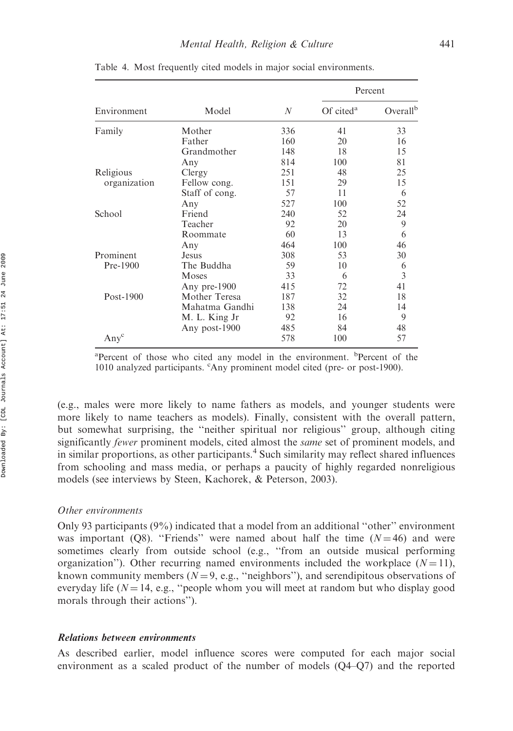|              |                |     | Percent                 |                      |  |  |
|--------------|----------------|-----|-------------------------|----------------------|--|--|
| Environment  | Model          | N   | $Of$ cited <sup>a</sup> | Overall <sup>b</sup> |  |  |
| Family       | Mother         | 336 | 41                      | 33                   |  |  |
|              | Father         | 160 | 20                      | 16                   |  |  |
|              | Grandmother    | 148 | 18                      | 15                   |  |  |
|              | Any            | 814 | 100                     | 81                   |  |  |
| Religious    | Clergy         | 251 | 48                      | 25                   |  |  |
| organization | Fellow cong.   | 151 | 29                      | 15                   |  |  |
|              | Staff of cong. | 57  | 11                      | 6                    |  |  |
|              | Any            | 527 | 100                     | 52                   |  |  |
| School       | Friend         | 240 | 52                      | 24                   |  |  |
|              | Teacher        | 92  | 20                      | 9                    |  |  |
|              | Roommate       | 60  | 13                      | 6                    |  |  |
|              | Any            | 464 | 100                     | 46                   |  |  |
| Prominent    | Jesus          | 308 | 53                      | 30                   |  |  |
| Pre-1900     | The Buddha     | 59  | 10                      | 6                    |  |  |
|              | Moses          | 33  | 6                       | 3                    |  |  |
|              | Any pre-1900   | 415 | 72                      | 41                   |  |  |
| Post-1900    | Mother Teresa  | 187 | 32                      | 18                   |  |  |
|              | Mahatma Gandhi | 138 | 24                      | 14                   |  |  |
|              | M. L. King Jr  | 92  | 16                      | 9                    |  |  |
|              | Any post-1900  | 485 | 84                      | 48                   |  |  |
| $Any^c$      |                | 578 | 100                     | 57                   |  |  |

Table 4. Most frequently cited models in major social environments.

<sup>a</sup>Percent of those who cited any model in the environment. <sup>b</sup>Percent of the 1010 analyzed participants. <sup>c</sup>Any prominent model cited (pre- or post-1900).

(e.g., males were more likely to name fathers as models, and younger students were more likely to name teachers as models). Finally, consistent with the overall pattern, but somewhat surprising, the ''neither spiritual nor religious'' group, although citing significantly *fewer* prominent models, cited almost the *same* set of prominent models, and in similar proportions, as other participants.<sup>4</sup> Such similarity may reflect shared influences from schooling and mass media, or perhaps a paucity of highly regarded nonreligious models (see interviews by Steen, Kachorek, & Peterson, 2003).

#### Other environments

Only 93 participants (9%) indicated that a model from an additional ''other'' environment was important (Q8). "Friends" were named about half the time  $(N=46)$  and were sometimes clearly from outside school (e.g., "from an outside musical performing organization''). Other recurring named environments included the workplace  $(N = 11)$ , known community members ( $N = 9$ , e.g., "neighbors"), and serendipitous observations of everyday life ( $N = 14$ , e.g., "people whom you will meet at random but who display good morals through their actions'').

#### Relations between environments

As described earlier, model influence scores were computed for each major social environment as a scaled product of the number of models (Q4–Q7) and the reported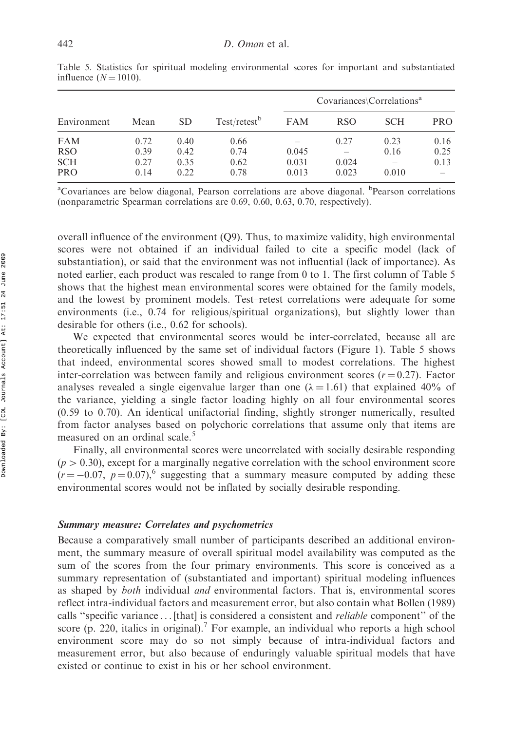|                                                      |                              |                              |                              |                         | Covariances\Correlations <sup>a</sup> |                            |                      |  |  |  |
|------------------------------------------------------|------------------------------|------------------------------|------------------------------|-------------------------|---------------------------------------|----------------------------|----------------------|--|--|--|
| Environment                                          | Mean                         | <b>SD</b>                    | Test/retest <sup>b</sup>     | <b>FAM</b>              | <b>RSO</b>                            | <b>SCH</b>                 | <b>PRO</b>           |  |  |  |
| <b>FAM</b><br><b>RSO</b><br><b>SCH</b><br><b>PRO</b> | 0.72<br>0.39<br>0.27<br>0.14 | 0.40<br>0.42<br>0.35<br>0.22 | 0.66<br>0.74<br>0.62<br>0.78 | 0.045<br>0.031<br>0.013 | 0.27<br>-<br>0.024<br>0.023           | 0.23<br>0.16<br>-<br>0.010 | 0.16<br>0.25<br>0.13 |  |  |  |

Table 5. Statistics for spiritual modeling environmental scores for important and substantiated influence  $(N = 1010)$ .

<sup>a</sup>Covariances are below diagonal, Pearson correlations are above diagonal. <sup>b</sup>Pearson correlations (nonparametric Spearman correlations are 0.69, 0.60, 0.63, 0.70, respectively).

overall influence of the environment (Q9). Thus, to maximize validity, high environmental scores were not obtained if an individual failed to cite a specific model (lack of substantiation), or said that the environment was not influential (lack of importance). As noted earlier, each product was rescaled to range from 0 to 1. The first column of Table 5 shows that the highest mean environmental scores were obtained for the family models, and the lowest by prominent models. Test–retest correlations were adequate for some environments (i.e., 0.74 for religious/spiritual organizations), but slightly lower than desirable for others (i.e., 0.62 for schools).

We expected that environmental scores would be inter-correlated, because all are theoretically influenced by the same set of individual factors (Figure 1). Table 5 shows that indeed, environmental scores showed small to modest correlations. The highest inter-correlation was between family and religious environment scores  $(r = 0.27)$ . Factor analyses revealed a single eigenvalue larger than one  $(\lambda = 1.61)$  that explained 40% of the variance, yielding a single factor loading highly on all four environmental scores (0.59 to 0.70). An identical unifactorial finding, slightly stronger numerically, resulted from factor analyses based on polychoric correlations that assume only that items are measured on an ordinal scale.<sup>5</sup>

Finally, all environmental scores were uncorrelated with socially desirable responding  $(p > 0.30)$ , except for a marginally negative correlation with the school environment score  $(r = -0.07, p = 0.07)$ , suggesting that a summary measure computed by adding these environmental scores would not be inflated by socially desirable responding.

#### Summary measure: Correlates and psychometrics

Because a comparatively small number of participants described an additional environment, the summary measure of overall spiritual model availability was computed as the sum of the scores from the four primary environments. This score is conceived as a summary representation of (substantiated and important) spiritual modeling influences as shaped by both individual and environmental factors. That is, environmental scores reflect intra-individual factors and measurement error, but also contain what Bollen (1989) calls ''specific variance ... [that] is considered a consistent and reliable component'' of the score (p. 220, italics in original).<sup>7</sup> For example, an individual who reports a high school environment score may do so not simply because of intra-individual factors and measurement error, but also because of enduringly valuable spiritual models that have existed or continue to exist in his or her school environment.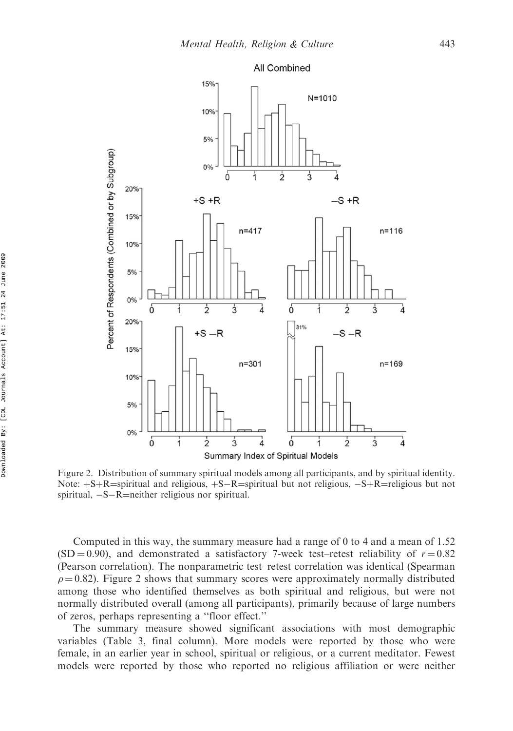

Figure 2. Distribution of summary spiritual models among all participants, and by spiritual identity. Note:  $+S+R$ =spiritual and religious,  $+S-R$ =spiritual but not religious,  $-S+R$ =religious but not spiritual,  $-S-R$ =neither religious nor spiritual.

Computed in this way, the summary measure had a range of 0 to 4 and a mean of 1.52  $(SD = 0.90)$ , and demonstrated a satisfactory 7-week test–retest reliability of  $r = 0.82$ (Pearson correlation). The nonparametric test–retest correlation was identical (Spearman  $\rho = 0.82$ ). Figure 2 shows that summary scores were approximately normally distributed among those who identified themselves as both spiritual and religious, but were not normally distributed overall (among all participants), primarily because of large numbers of zeros, perhaps representing a ''floor effect.''

The summary measure showed significant associations with most demographic variables (Table 3, final column). More models were reported by those who were female, in an earlier year in school, spiritual or religious, or a current meditator. Fewest models were reported by those who reported no religious affiliation or were neither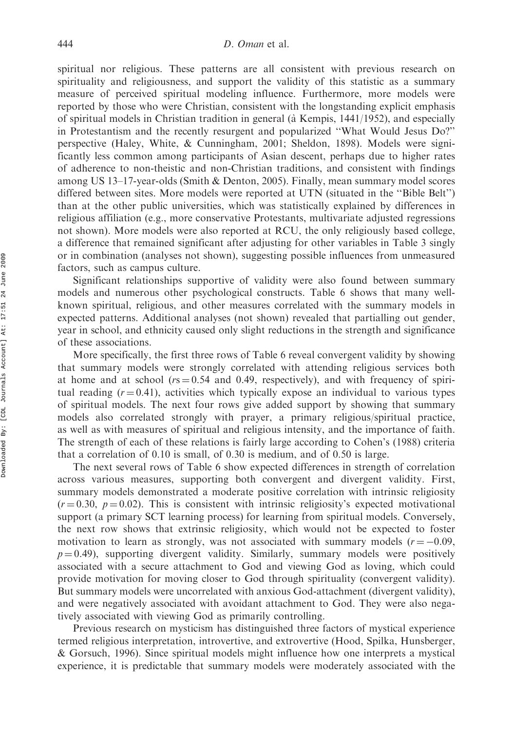spiritual nor religious. These patterns are all consistent with previous research on spirituality and religiousness, and support the validity of this statistic as a summary measure of perceived spiritual modeling influence. Furthermore, more models were reported by those who were Christian, consistent with the longstanding explicit emphasis of spiritual models in Christian tradition in general ( $\hat{a}$  Kempis, 1441/1952), and especially in Protestantism and the recently resurgent and popularized ''What Would Jesus Do?'' perspective (Haley, White, & Cunningham, 2001; Sheldon, 1898). Models were significantly less common among participants of Asian descent, perhaps due to higher rates of adherence to non-theistic and non-Christian traditions, and consistent with findings among US 13–17-year-olds (Smith & Denton, 2005). Finally, mean summary model scores differed between sites. More models were reported at UTN (situated in the ''Bible Belt'') than at the other public universities, which was statistically explained by differences in religious affiliation (e.g., more conservative Protestants, multivariate adjusted regressions not shown). More models were also reported at RCU, the only religiously based college, a difference that remained significant after adjusting for other variables in Table 3 singly or in combination (analyses not shown), suggesting possible influences from unmeasured factors, such as campus culture.

Significant relationships supportive of validity were also found between summary models and numerous other psychological constructs. Table 6 shows that many wellknown spiritual, religious, and other measures correlated with the summary models in expected patterns. Additional analyses (not shown) revealed that partialling out gender, year in school, and ethnicity caused only slight reductions in the strength and significance of these associations.

More specifically, the first three rows of Table 6 reveal convergent validity by showing that summary models were strongly correlated with attending religious services both at home and at school ( $rs = 0.54$  and 0.49, respectively), and with frequency of spiritual reading  $(r = 0.41)$ , activities which typically expose an individual to various types of spiritual models. The next four rows give added support by showing that summary models also correlated strongly with prayer, a primary religious/spiritual practice, as well as with measures of spiritual and religious intensity, and the importance of faith. The strength of each of these relations is fairly large according to Cohen's (1988) criteria that a correlation of 0.10 is small, of 0.30 is medium, and of 0.50 is large.

The next several rows of Table 6 show expected differences in strength of correlation across various measures, supporting both convergent and divergent validity. First, summary models demonstrated a moderate positive correlation with intrinsic religiosity  $(r = 0.30, p = 0.02)$ . This is consistent with intrinsic religiosity's expected motivational support (a primary SCT learning process) for learning from spiritual models. Conversely, the next row shows that extrinsic religiosity, which would not be expected to foster motivation to learn as strongly, was not associated with summary models  $(r = -0.09,$  $p = 0.49$ ), supporting divergent validity. Similarly, summary models were positively associated with a secure attachment to God and viewing God as loving, which could provide motivation for moving closer to God through spirituality (convergent validity). But summary models were uncorrelated with anxious God-attachment (divergent validity), and were negatively associated with avoidant attachment to God. They were also negatively associated with viewing God as primarily controlling.

Previous research on mysticism has distinguished three factors of mystical experience termed religious interpretation, introvertive, and extrovertive (Hood, Spilka, Hunsberger, & Gorsuch, 1996). Since spiritual models might influence how one interprets a mystical experience, it is predictable that summary models were moderately associated with the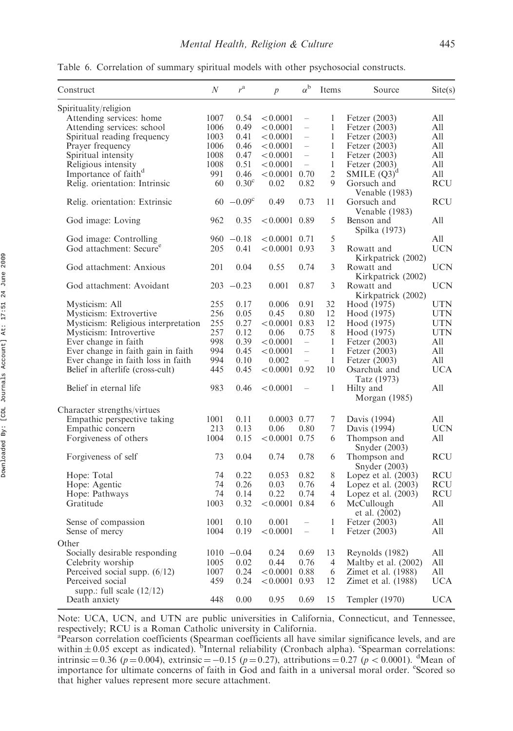| Construct                                    | N            | $r^{\mathrm{a}}$    | $\mathcal{P}$     | $\alpha^{\rm b}$         | Items                        | Source                             | Site(s)    |
|----------------------------------------------|--------------|---------------------|-------------------|--------------------------|------------------------------|------------------------------------|------------|
| Spirituality/religion                        |              |                     |                   |                          |                              |                                    |            |
| Attending services: home                     | 1007         | 0.54                | < 0.0001          | $\qquad \qquad -$        | 1                            | Fetzer (2003)                      | All        |
| Attending services: school                   | 1006         | 0.49                | < 0.0001          | $\overline{\phantom{0}}$ | 1                            | Fetzer $(2003)$                    | All        |
| Spiritual reading frequency                  | 1003         | 0.41                | < 0.0001          | $\equiv$                 | 1                            | Fetzer (2003)                      | All        |
| Prayer frequency                             | 1006         | 0.46                | < 0.0001          | $\equiv$                 | $\mathbf{1}$                 | Fetzer (2003)                      | All        |
| Spiritual intensity                          | 1008         | 0.47                | < 0.0001          | $-$                      | 1                            | Fetzer (2003)                      | All        |
| Religious intensity                          | 1008         | 0.51                | < 0.0001          | $\equiv$                 | $\mathbf{1}$                 | Fetzer $(2003)$                    | All        |
| Importance of faith <sup>d</sup>             | 991          | 0.46                | $< 0.0001$ 0.70   |                          | $\overline{2}$               | SMILE $(Q3)^d$                     | All        |
| Relig. orientation: Intrinsic                | 60           | 0.30 <sup>c</sup>   | 0.02              | 0.82                     | 9                            | Gorsuch and<br>Venable (1983)      | <b>RCU</b> |
| Relig. orientation: Extrinsic                |              | $60 - 0.09^{\circ}$ | 0.49              | 0.73                     | 11                           | Gorsuch and<br>Venable (1983)      | <b>RCU</b> |
| God image: Loving                            | 962          | 0.35                | $< 0.0001$ 0.89   |                          | 5                            | Benson and<br>Spilka (1973)        | All        |
| God image: Controlling                       |              | $960 -0.18$         | $< 0.0001$ 0.71   |                          | 5                            |                                    | All        |
| God attachment: Secure <sup>e</sup>          | 205          | 0.41                | $< 0.0001$ 0.93   |                          | 3                            | Rowatt and                         | <b>UCN</b> |
| God attachment: Anxious                      | 201          | 0.04                | 0.55              | 0.74                     | 3                            | Kirkpatrick (2002)<br>Rowatt and   | <b>UCN</b> |
| God attachment: Avoidant                     |              | $203 -0.23$         | 0.001             | 0.87                     | 3                            | Kirkpatrick (2002)<br>Rowatt and   | <b>UCN</b> |
|                                              |              |                     |                   |                          |                              | Kirkpatrick (2002)                 |            |
| Mysticism: All                               | 255          | 0.17                | 0.006             | 0.91                     | 32                           | Hood (1975)                        | UTN        |
| Mysticism: Extrovertive                      | 256          | 0.05                | 0.45              | 0.80                     | 12                           | Hood (1975)                        | <b>UTN</b> |
| Mysticism: Religious interpretation          | 255<br>257   | 0.27                | $< 0.0001$ 0.83   |                          | 12                           | Hood (1975)                        | <b>UTN</b> |
| Mysticism: Introvertive                      |              | 0.12                | 0.06              | 0.75                     | 8                            | Hood (1975)                        | <b>UTN</b> |
| Ever change in faith                         | 998          | 0.39                | < 0.0001          | $\equiv$                 | $\mathbf{1}$                 | Fetzer (2003)                      | All        |
| Ever change in faith gain in faith           | 994          | 0.45                | < 0.0001          | $\equiv$                 | $\mathbf{1}$                 | Fetzer $(2003)$                    | All        |
| Ever change in faith loss in faith           | 994          | 0.10                | 0.002             | $\equiv$                 | 1                            | Fetzer $(2003)$                    | All        |
| Belief in afterlife (cross-cult)             | 445          | 0.45                | $< 0.0001$ 0.92   |                          | 10                           | Osarchuk and<br>Tatz (1973)        | <b>UCA</b> |
| Belief in eternal life                       | 983          | 0.46                | < 0.0001          |                          | $\mathbf{1}$                 | Hilty and<br>Morgan (1985)         | All        |
| Character strengths/virtues                  |              |                     |                   |                          |                              |                                    |            |
| Empathic perspective taking                  | 1001         | 0.11                | 0.0003 0.77       |                          | 7                            | Davis (1994)                       | All        |
| Empathic concern                             | 213          | 0.13                | 0.06              | 0.80                     | 7                            | Davis (1994)                       | <b>UCN</b> |
| Forgiveness of others                        | 1004         | 0.15                | $< 0.0001$ 0.75   |                          | 6                            | Thompson and<br>Snyder (2003)      | All        |
| Forgiveness of self                          | 73           | 0.04                | 0.74              | 0.78                     | 6                            | Thompson and<br>Snyder $(2003)$    | <b>RCU</b> |
| Hope: Total                                  | 74           | 0.22                | 0.053             | 0.82                     | 8                            | Lopez et al. $(2003)$              | <b>RCU</b> |
| Hope: Agentic                                | 74           | 0.26                | 0.03              | 0.76                     | 4                            | Lopez et al. $(2003)$              | <b>RCU</b> |
| Hope: Pathways                               | 74           | 0.14                | 0.22              | 0.74                     | 4                            | Lopez et al. $(2003)$              | <b>RCU</b> |
| Gratitude                                    | 1003         | 0.32                | $< 0.0001$ 0.84   |                          | 6                            | McCullough                         | All        |
|                                              |              |                     |                   |                          |                              | et al. (2002)                      |            |
| Sense of compassion<br>Sense of mercy        | 1001<br>1004 | 0.10<br>0.19        | 0.001<br>< 0.0001 | $\equiv$                 | $\mathbf{1}$<br>$\mathbf{1}$ | Fetzer $(2003)$<br>Fetzer $(2003)$ | All<br>All |
| Other                                        |              |                     |                   |                          |                              |                                    |            |
| Socially desirable responding                |              | $1010 - 0.04$       | 0.24              | 0.69                     | 13                           | Reynolds (1982)                    | All        |
| Celebrity worship                            | 1005         | 0.02                | 0.44              | 0.76                     | $\overline{4}$               | Maltby et al. $(2002)$             | All        |
| Perceived social supp. $(6/12)$              | 1007         | 0.24                | $< 0.0001$ 0.88   |                          | 6                            | Zimet et al. $(1988)$              | All        |
| Perceived social                             | 459          | 0.24                | $< 0.0001$ 0.93   |                          | 12                           | Zimet et al. $(1988)$              | <b>UCA</b> |
| supp.: full scale $(12/12)$<br>Death anxiety | 448          | 0.00                | 0.95              | 0.69                     | 15                           | Templer (1970)                     | <b>UCA</b> |

Table 6. Correlation of summary spiritual models with other psychosocial constructs.

Note: UCA, UCN, and UTN are public universities in California, Connecticut, and Tennessee, respectively; RCU is a Roman Catholic university in California.

<sup>a</sup> Pearson correlation coefficients (Spearman coefficients all have similar significance levels, and are within  $\pm 0.05$  except as indicated). <sup>b</sup>Internal reliability (Cronbach alpha). <sup>c</sup>Spearman correlations: intrinsic = 0.36 ( $p = 0.004$ ), extrinsic = -0.15 ( $p = 0.27$ ), attributions = 0.27 ( $p < 0.0001$ ). <sup>d</sup>Mean of importance for ultimate concerns of faith in God and faith in a universal moral order. <sup>e</sup>Scored so that higher values represent more secure attachment.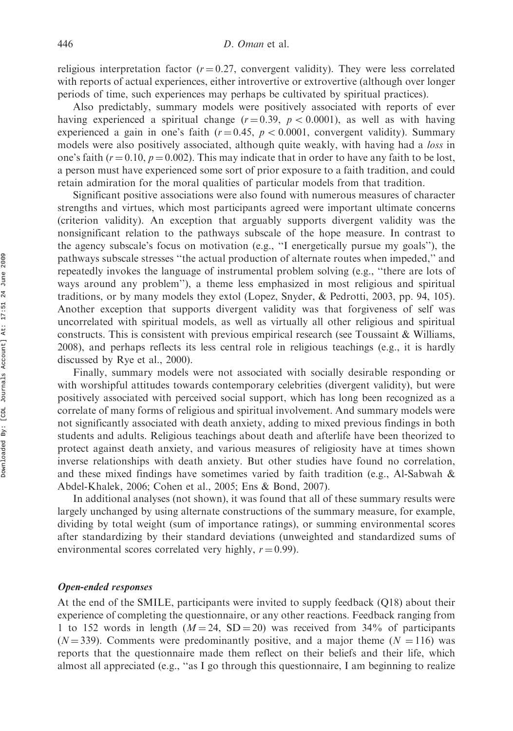religious interpretation factor  $(r = 0.27$ , convergent validity). They were less correlated with reports of actual experiences, either introvertive or extrovertive (although over longer periods of time, such experiences may perhaps be cultivated by spiritual practices).

Also predictably, summary models were positively associated with reports of ever having experienced a spiritual change  $(r=0.39, p<0.0001)$ , as well as with having experienced a gain in one's faith  $(r=0.45, p<0.0001,$  convergent validity). Summary models were also positively associated, although quite weakly, with having had a *loss* in one's faith ( $r = 0.10$ ,  $p = 0.002$ ). This may indicate that in order to have any faith to be lost, a person must have experienced some sort of prior exposure to a faith tradition, and could retain admiration for the moral qualities of particular models from that tradition.

Significant positive associations were also found with numerous measures of character strengths and virtues, which most participants agreed were important ultimate concerns (criterion validity). An exception that arguably supports divergent validity was the nonsignificant relation to the pathways subscale of the hope measure. In contrast to the agency subscale's focus on motivation (e.g., "I energetically pursue my goals"), the pathways subscale stresses ''the actual production of alternate routes when impeded,'' and repeatedly invokes the language of instrumental problem solving (e.g., ''there are lots of ways around any problem''), a theme less emphasized in most religious and spiritual traditions, or by many models they extol (Lopez, Snyder, & Pedrotti, 2003, pp. 94, 105). Another exception that supports divergent validity was that forgiveness of self was uncorrelated with spiritual models, as well as virtually all other religious and spiritual constructs. This is consistent with previous empirical research (see Toussaint & Williams, 2008), and perhaps reflects its less central role in religious teachings (e.g., it is hardly discussed by Rye et al., 2000).

Finally, summary models were not associated with socially desirable responding or with worshipful attitudes towards contemporary celebrities (divergent validity), but were positively associated with perceived social support, which has long been recognized as a correlate of many forms of religious and spiritual involvement. And summary models were not significantly associated with death anxiety, adding to mixed previous findings in both students and adults. Religious teachings about death and afterlife have been theorized to protect against death anxiety, and various measures of religiosity have at times shown inverse relationships with death anxiety. But other studies have found no correlation, and these mixed findings have sometimes varied by faith tradition (e.g., Al-Sabwah  $\&$ Abdel-Khalek, 2006; Cohen et al., 2005; Ens & Bond, 2007).

In additional analyses (not shown), it was found that all of these summary results were largely unchanged by using alternate constructions of the summary measure, for example, dividing by total weight (sum of importance ratings), or summing environmental scores after standardizing by their standard deviations (unweighted and standardized sums of environmental scores correlated very highly,  $r = 0.99$ ).

#### Open-ended responses

At the end of the SMILE, participants were invited to supply feedback (Q18) about their experience of completing the questionnaire, or any other reactions. Feedback ranging from 1 to 152 words in length  $(M = 24, SD = 20)$  was received from 34% of participants ( $N = 339$ ). Comments were predominantly positive, and a major theme ( $N = 116$ ) was reports that the questionnaire made them reflect on their beliefs and their life, which almost all appreciated (e.g., ''as I go through this questionnaire, I am beginning to realize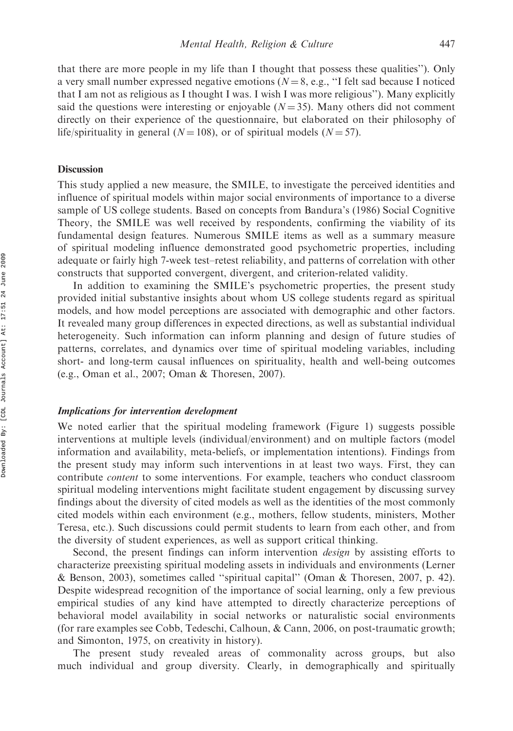that there are more people in my life than I thought that possess these qualities''). Only a very small number expressed negative emotions  $(N = 8, e.g., "I felt sad because I noticed$ that I am not as religious as I thought I was. I wish I was more religious''). Many explicitly said the questions were interesting or enjoyable  $(N = 35)$ . Many others did not comment directly on their experience of the questionnaire, but elaborated on their philosophy of life/spirituality in general ( $N = 108$ ), or of spiritual models ( $N = 57$ ).

## **Discussion**

This study applied a new measure, the SMILE, to investigate the perceived identities and influence of spiritual models within major social environments of importance to a diverse sample of US college students. Based on concepts from Bandura's (1986) Social Cognitive Theory, the SMILE was well received by respondents, confirming the viability of its fundamental design features. Numerous SMILE items as well as a summary measure of spiritual modeling influence demonstrated good psychometric properties, including adequate or fairly high 7-week test–retest reliability, and patterns of correlation with other constructs that supported convergent, divergent, and criterion-related validity.

In addition to examining the SMILE's psychometric properties, the present study provided initial substantive insights about whom US college students regard as spiritual models, and how model perceptions are associated with demographic and other factors. It revealed many group differences in expected directions, as well as substantial individual heterogeneity. Such information can inform planning and design of future studies of patterns, correlates, and dynamics over time of spiritual modeling variables, including short- and long-term causal influences on spirituality, health and well-being outcomes (e.g., Oman et al., 2007; Oman & Thoresen, 2007).

#### Implications for intervention development

We noted earlier that the spiritual modeling framework (Figure 1) suggests possible interventions at multiple levels (individual/environment) and on multiple factors (model information and availability, meta-beliefs, or implementation intentions). Findings from the present study may inform such interventions in at least two ways. First, they can contribute content to some interventions. For example, teachers who conduct classroom spiritual modeling interventions might facilitate student engagement by discussing survey findings about the diversity of cited models as well as the identities of the most commonly cited models within each environment (e.g., mothers, fellow students, ministers, Mother Teresa, etc.). Such discussions could permit students to learn from each other, and from the diversity of student experiences, as well as support critical thinking.

Second, the present findings can inform intervention design by assisting efforts to characterize preexisting spiritual modeling assets in individuals and environments (Lerner & Benson, 2003), sometimes called ''spiritual capital'' (Oman & Thoresen, 2007, p. 42). Despite widespread recognition of the importance of social learning, only a few previous empirical studies of any kind have attempted to directly characterize perceptions of behavioral model availability in social networks or naturalistic social environments (for rare examples see Cobb, Tedeschi, Calhoun, & Cann, 2006, on post-traumatic growth; and Simonton, 1975, on creativity in history).

The present study revealed areas of commonality across groups, but also much individual and group diversity. Clearly, in demographically and spiritually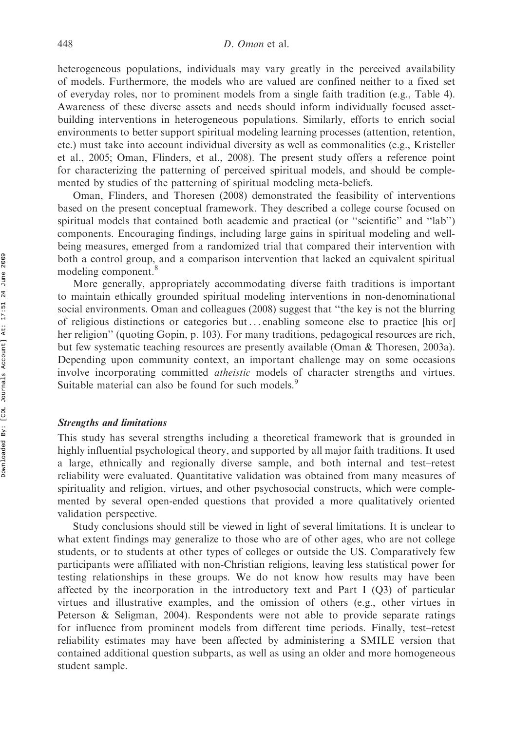heterogeneous populations, individuals may vary greatly in the perceived availability of models. Furthermore, the models who are valued are confined neither to a fixed set of everyday roles, nor to prominent models from a single faith tradition (e.g., Table 4). Awareness of these diverse assets and needs should inform individually focused assetbuilding interventions in heterogeneous populations. Similarly, efforts to enrich social environments to better support spiritual modeling learning processes (attention, retention, etc.) must take into account individual diversity as well as commonalities (e.g., Kristeller et al., 2005; Oman, Flinders, et al., 2008). The present study offers a reference point for characterizing the patterning of perceived spiritual models, and should be complemented by studies of the patterning of spiritual modeling meta-beliefs.

Oman, Flinders, and Thoresen (2008) demonstrated the feasibility of interventions based on the present conceptual framework. They described a college course focused on spiritual models that contained both academic and practical (or ''scientific'' and ''lab'') components. Encouraging findings, including large gains in spiritual modeling and wellbeing measures, emerged from a randomized trial that compared their intervention with both a control group, and a comparison intervention that lacked an equivalent spiritual modeling component.<sup>8</sup>

More generally, appropriately accommodating diverse faith traditions is important to maintain ethically grounded spiritual modeling interventions in non-denominational social environments. Oman and colleagues (2008) suggest that ''the key is not the blurring of religious distinctions or categories but ... enabling someone else to practice [his or] her religion" (quoting Gopin, p. 103). For many traditions, pedagogical resources are rich, but few systematic teaching resources are presently available (Oman & Thoresen, 2003a). Depending upon community context, an important challenge may on some occasions involve incorporating committed atheistic models of character strengths and virtues. Suitable material can also be found for such models.<sup>9</sup>

#### Strengths and limitations

This study has several strengths including a theoretical framework that is grounded in highly influential psychological theory, and supported by all major faith traditions. It used a large, ethnically and regionally diverse sample, and both internal and test–retest reliability were evaluated. Quantitative validation was obtained from many measures of spirituality and religion, virtues, and other psychosocial constructs, which were complemented by several open-ended questions that provided a more qualitatively oriented validation perspective.

Study conclusions should still be viewed in light of several limitations. It is unclear to what extent findings may generalize to those who are of other ages, who are not college students, or to students at other types of colleges or outside the US. Comparatively few participants were affiliated with non-Christian religions, leaving less statistical power for testing relationships in these groups. We do not know how results may have been affected by the incorporation in the introductory text and Part I (Q3) of particular virtues and illustrative examples, and the omission of others (e.g., other virtues in Peterson & Seligman, 2004). Respondents were not able to provide separate ratings for influence from prominent models from different time periods. Finally, test–retest reliability estimates may have been affected by administering a SMILE version that contained additional question subparts, as well as using an older and more homogeneous student sample.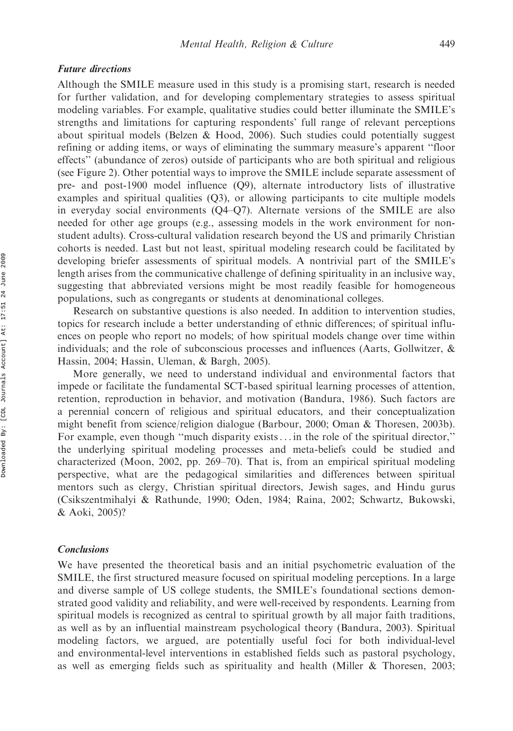## Future directions

Although the SMILE measure used in this study is a promising start, research is needed for further validation, and for developing complementary strategies to assess spiritual modeling variables. For example, qualitative studies could better illuminate the SMILE's strengths and limitations for capturing respondents' full range of relevant perceptions about spiritual models (Belzen & Hood, 2006). Such studies could potentially suggest refining or adding items, or ways of eliminating the summary measure's apparent ''floor effects'' (abundance of zeros) outside of participants who are both spiritual and religious (see Figure 2). Other potential ways to improve the SMILE include separate assessment of pre- and post-1900 model influence (Q9), alternate introductory lists of illustrative examples and spiritual qualities (Q3), or allowing participants to cite multiple models in everyday social environments (Q4–Q7). Alternate versions of the SMILE are also needed for other age groups (e.g., assessing models in the work environment for nonstudent adults). Cross-cultural validation research beyond the US and primarily Christian cohorts is needed. Last but not least, spiritual modeling research could be facilitated by developing briefer assessments of spiritual models. A nontrivial part of the SMILE's length arises from the communicative challenge of defining spirituality in an inclusive way, suggesting that abbreviated versions might be most readily feasible for homogeneous populations, such as congregants or students at denominational colleges.

Research on substantive questions is also needed. In addition to intervention studies, topics for research include a better understanding of ethnic differences; of spiritual influences on people who report no models; of how spiritual models change over time within individuals; and the role of subconscious processes and influences (Aarts, Gollwitzer, & Hassin, 2004; Hassin, Uleman, & Bargh, 2005).

More generally, we need to understand individual and environmental factors that impede or facilitate the fundamental SCT-based spiritual learning processes of attention, retention, reproduction in behavior, and motivation (Bandura, 1986). Such factors are a perennial concern of religious and spiritual educators, and their conceptualization might benefit from science/religion dialogue (Barbour, 2000; Oman & Thoresen, 2003b). For example, even though ''much disparity exists... in the role of the spiritual director,'' the underlying spiritual modeling processes and meta-beliefs could be studied and characterized (Moon, 2002, pp. 269–70). That is, from an empirical spiritual modeling perspective, what are the pedagogical similarities and differences between spiritual mentors such as clergy, Christian spiritual directors, Jewish sages, and Hindu gurus (Csikszentmihalyi & Rathunde, 1990; Oden, 1984; Raina, 2002; Schwartz, Bukowski, & Aoki, 2005)?

## **Conclusions**

We have presented the theoretical basis and an initial psychometric evaluation of the SMILE, the first structured measure focused on spiritual modeling perceptions. In a large and diverse sample of US college students, the SMILE's foundational sections demonstrated good validity and reliability, and were well-received by respondents. Learning from spiritual models is recognized as central to spiritual growth by all major faith traditions, as well as by an influential mainstream psychological theory (Bandura, 2003). Spiritual modeling factors, we argued, are potentially useful foci for both individual-level and environmental-level interventions in established fields such as pastoral psychology, as well as emerging fields such as spirituality and health (Miller & Thoresen, 2003;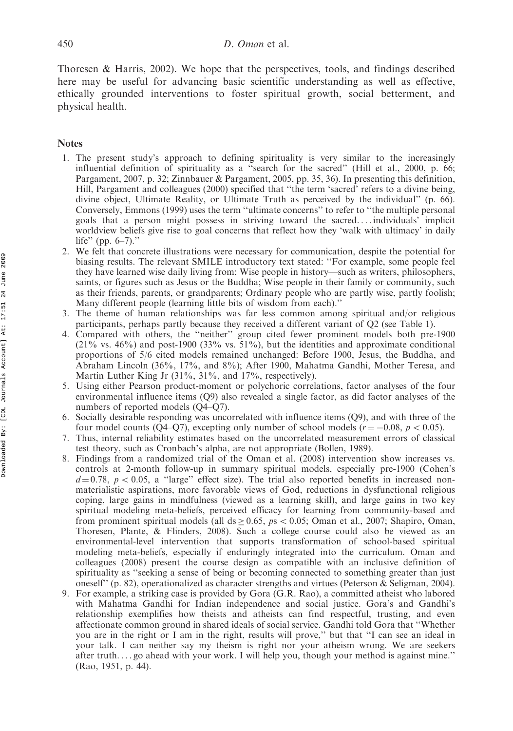Thoresen & Harris, 2002). We hope that the perspectives, tools, and findings described here may be useful for advancing basic scientific understanding as well as effective, ethically grounded interventions to foster spiritual growth, social betterment, and physical health.

## **Notes**

- 1. The present study's approach to defining spirituality is very similar to the increasingly influential definition of spirituality as a ''search for the sacred'' (Hill et al., 2000, p. 66; Pargament, 2007, p. 32; Zinnbauer & Pargament, 2005, pp. 35, 36). In presenting this definition, Hill, Pargament and colleagues (2000) specified that ''the term 'sacred' refers to a divine being, divine object, Ultimate Reality, or Ultimate Truth as perceived by the individual'' (p. 66). Conversely, Emmons (1999) uses the term ''ultimate concerns'' to refer to ''the multiple personal goals that a person might possess in striving toward the sacred. ... individuals' implicit worldview beliefs give rise to goal concerns that reflect how they 'walk with ultimacy' in daily life'' (pp. 6–7).''
- 2. We felt that concrete illustrations were necessary for communication, despite the potential for biasing results. The relevant SMILE introductory text stated: ''For example, some people feel they have learned wise daily living from: Wise people in history—such as writers, philosophers, saints, or figures such as Jesus or the Buddha; Wise people in their family or community, such as their friends, parents, or grandparents; Ordinary people who are partly wise, partly foolish; Many different people (learning little bits of wisdom from each).''
- 3. The theme of human relationships was far less common among spiritual and/or religious participants, perhaps partly because they received a different variant of Q2 (see Table 1).
- 4. Compared with others, the ''neither'' group cited fewer prominent models both pre-1900 (21% vs. 46%) and post-1900 (33% vs. 51%), but the identities and approximate conditional proportions of 5/6 cited models remained unchanged: Before 1900, Jesus, the Buddha, and Abraham Lincoln (36%, 17%, and 8%); After 1900, Mahatma Gandhi, Mother Teresa, and Martin Luther King Jr (31%, 31%, and 17%, respectively).
- 5. Using either Pearson product-moment or polychoric correlations, factor analyses of the four environmental influence items (Q9) also revealed a single factor, as did factor analyses of the numbers of reported models (O4–O7).
- 6. Socially desirable responding was uncorrelated with influence items (Q9), and with three of the four model counts (Q4–Q7), excepting only number of school models ( $r = -0.08$ ,  $p < 0.05$ ).
- 7. Thus, internal reliability estimates based on the uncorrelated measurement errors of classical test theory, such as Cronbach's alpha, are not appropriate (Bollen, 1989).
- 8. Findings from a randomized trial of the Oman et al. (2008) intervention show increases vs. controls at 2-month follow-up in summary spiritual models, especially pre-1900 (Cohen's  $d = 0.78$ ,  $p < 0.05$ , a "large" effect size). The trial also reported benefits in increased nonmaterialistic aspirations, more favorable views of God, reductions in dysfunctional religious coping, large gains in mindfulness (viewed as a learning skill), and large gains in two key spiritual modeling meta-beliefs, perceived efficacy for learning from community-based and from prominent spiritual models (all ds  $\geq$  0.65, ps < 0.05; Oman et al., 2007; Shapiro, Oman, Thoresen, Plante, & Flinders, 2008). Such a college course could also be viewed as an environmental-level intervention that supports transformation of school-based spiritual modeling meta-beliefs, especially if enduringly integrated into the curriculum. Oman and colleagues (2008) present the course design as compatible with an inclusive definition of spirituality as ''seeking a sense of being or becoming connected to something greater than just oneself'' (p. 82), operationalized as character strengths and virtues (Peterson & Seligman, 2004).
- 9. For example, a striking case is provided by Gora (G.R. Rao), a committed atheist who labored with Mahatma Gandhi for Indian independence and social justice. Gora's and Gandhi's relationship exemplifies how theists and atheists can find respectful, trusting, and even affectionate common ground in shared ideals of social service. Gandhi told Gora that ''Whether you are in the right or I am in the right, results will prove,'' but that ''I can see an ideal in your talk. I can neither say my theism is right nor your atheism wrong. We are seekers after truth. ... go ahead with your work. I will help you, though your method is against mine.'' (Rao, 1951, p. 44).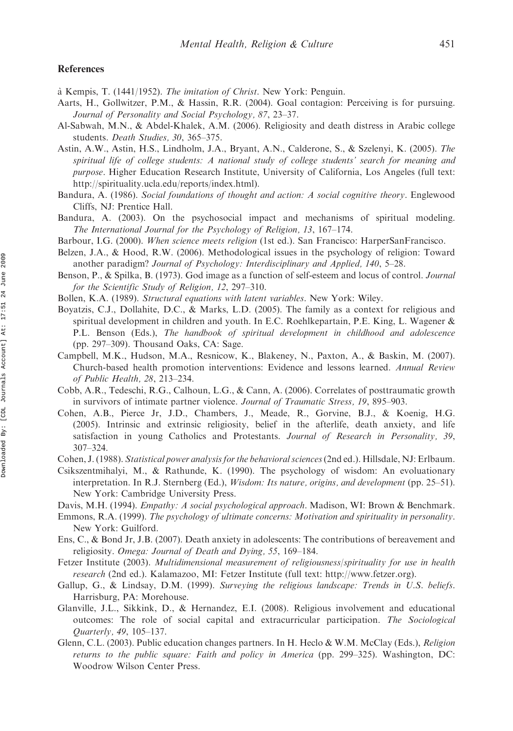#### References

a` Kempis, T. (1441/1952). The imitation of Christ. New York: Penguin.

- Aarts, H., Gollwitzer, P.M., & Hassin, R.R. (2004). Goal contagion: Perceiving is for pursuing. Journal of Personality and Social Psychology, 87, 23–37.
- Al-Sabwah, M.N., & Abdel-Khalek, A.M. (2006). Religiosity and death distress in Arabic college students. Death Studies, 30, 365–375.
- Astin, A.W., Astin, H.S., Lindholm, J.A., Bryant, A.N., Calderone, S., & Szelenyi, K. (2005). The spiritual life of college students: A national study of college students' search for meaning and purpose. Higher Education Research Institute, University of California, Los Angeles (full text: http://spirituality.ucla.edu/reports/index.html).
- Bandura, A. (1986). Social foundations of thought and action: A social cognitive theory. Englewood Cliffs, NJ: Prentice Hall.
- Bandura, A. (2003). On the psychosocial impact and mechanisms of spiritual modeling. The International Journal for the Psychology of Religion, 13, 167–174.
- Barbour, I.G. (2000). When science meets religion (1st ed.). San Francisco: HarperSanFrancisco.
- Belzen, J.A., & Hood, R.W. (2006). Methodological issues in the psychology of religion: Toward another paradigm? Journal of Psychology: Interdisciplinary and Applied, 140, 5–28.
- Benson, P., & Spilka, B. (1973). God image as a function of self-esteem and locus of control. Journal for the Scientific Study of Religion, 12, 297–310.
- Bollen, K.A. (1989). Structural equations with latent variables. New York: Wiley.
- Boyatzis, C.J., Dollahite, D.C., & Marks, L.D. (2005). The family as a context for religious and spiritual development in children and youth. In E.C. Roehlkepartain, P.E. King, L. Wagener  $\&$ P.L. Benson (Eds.), The handbook of spiritual development in childhood and adolescence (pp. 297–309). Thousand Oaks, CA: Sage.
- Campbell, M.K., Hudson, M.A., Resnicow, K., Blakeney, N., Paxton, A., & Baskin, M. (2007). Church-based health promotion interventions: Evidence and lessons learned. Annual Review of Public Health, 28, 213–234.
- Cobb, A.R., Tedeschi, R.G., Calhoun, L.G., & Cann, A. (2006). Correlates of posttraumatic growth in survivors of intimate partner violence. Journal of Traumatic Stress, 19, 895–903.
- Cohen, A.B., Pierce Jr, J.D., Chambers, J., Meade, R., Gorvine, B.J., & Koenig, H.G. (2005). Intrinsic and extrinsic religiosity, belief in the afterlife, death anxiety, and life satisfaction in young Catholics and Protestants. Journal of Research in Personality, 39, 307–324.
- Cohen, J. (1988). Statistical power analysis for the behavioral sciences(2nd ed.). Hillsdale, NJ: Erlbaum.
- Csikszentmihalyi, M., & Rathunde, K. (1990). The psychology of wisdom: An evoluationary interpretation. In R.J. Sternberg (Ed.), *Wisdom: Its nature, origins, and development* (pp. 25–51). New York: Cambridge University Press.
- Davis, M.H. (1994). *Empathy: A social psychological approach*. Madison, WI: Brown & Benchmark.
- Emmons, R.A. (1999). The psychology of ultimate concerns: Motivation and spirituality in personality. New York: Guilford.
- Ens, C., & Bond Jr, J.B. (2007). Death anxiety in adolescents: The contributions of bereavement and religiosity. Omega: Journal of Death and Dying, 55, 169–184.
- Fetzer Institute (2003). Multidimensional measurement of religiousness/spirituality for use in health research (2nd ed.). Kalamazoo, MI: Fetzer Institute (full text: http://www.fetzer.org).
- Gallup, G., & Lindsay, D.M. (1999). Surveying the religious landscape: Trends in U.S. beliefs. Harrisburg, PA: Morehouse.
- Glanville, J.L., Sikkink, D., & Hernandez, E.I. (2008). Religious involvement and educational outcomes: The role of social capital and extracurricular participation. The Sociological Quarterly, 49, 105–137.
- Glenn, C.L. (2003). Public education changes partners. In H. Heclo & W.M. McClay (Eds.), Religion returns to the public square: Faith and policy in America (pp. 299–325). Washington, DC: Woodrow Wilson Center Press.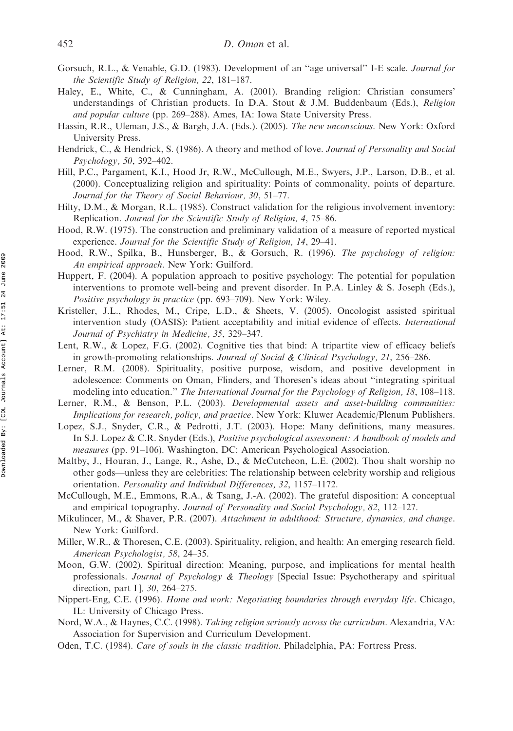- Gorsuch, R.L., & Venable, G.D. (1983). Development of an ''age universal'' I-E scale. Journal for the Scientific Study of Religion, 22, 181–187.
- Haley, E., White, C., & Cunningham, A. (2001). Branding religion: Christian consumers' understandings of Christian products. In D.A. Stout & J.M. Buddenbaum (Eds.), Religion and popular culture (pp. 269–288). Ames, IA: Iowa State University Press.
- Hassin, R.R., Uleman, J.S., & Bargh, J.A. (Eds.). (2005). The new unconscious. New York: Oxford University Press.
- Hendrick, C., & Hendrick, S. (1986). A theory and method of love. Journal of Personality and Social Psychology, 50, 392–402.
- Hill, P.C., Pargament, K.I., Hood Jr, R.W., McCullough, M.E., Swyers, J.P., Larson, D.B., et al. (2000). Conceptualizing religion and spirituality: Points of commonality, points of departure. Journal for the Theory of Social Behaviour, 30, 51–77.
- Hilty, D.M., & Morgan, R.L. (1985). Construct validation for the religious involvement inventory: Replication. Journal for the Scientific Study of Religion, 4, 75–86.
- Hood, R.W. (1975). The construction and preliminary validation of a measure of reported mystical experience. Journal for the Scientific Study of Religion, 14, 29-41.
- Hood, R.W., Spilka, B., Hunsberger, B., & Gorsuch, R. (1996). The psychology of religion: An empirical approach. New York: Guilford.
- Huppert, F. (2004). A population approach to positive psychology: The potential for population interventions to promote well-being and prevent disorder. In P.A. Linley  $\&$  S. Joseph (Eds.), Positive psychology in practice (pp. 693–709). New York: Wiley.
- Kristeller, J.L., Rhodes, M., Cripe, L.D., & Sheets, V. (2005). Oncologist assisted spiritual intervention study (OASIS): Patient acceptability and initial evidence of effects. International Journal of Psychiatry in Medicine, 35, 329–347.
- Lent, R.W., & Lopez, F.G. (2002). Cognitive ties that bind: A tripartite view of efficacy beliefs in growth-promoting relationships. Journal of Social & Clinical Psychology, 21, 256–286.
- Lerner, R.M. (2008). Spirituality, positive purpose, wisdom, and positive development in adolescence: Comments on Oman, Flinders, and Thoresen's ideas about ''integrating spiritual modeling into education." The International Journal for the Psychology of Religion, 18, 108–118.
- Lerner, R.M., & Benson, P.L. (2003). Developmental assets and asset-building communities: Implications for research, policy, and practice. New York: Kluwer Academic/Plenum Publishers.
- Lopez, S.J., Snyder, C.R., & Pedrotti, J.T. (2003). Hope: Many definitions, many measures. In S.J. Lopez & C.R. Snyder (Eds.), *Positive psychological assessment: A handbook of models and* measures (pp. 91–106). Washington, DC: American Psychological Association.
- Maltby, J., Houran, J., Lange, R., Ashe, D., & McCutcheon, L.E. (2002). Thou shalt worship no other gods—unless they are celebrities: The relationship between celebrity worship and religious orientation. Personality and Individual Differences, 32, 1157–1172.
- McCullough, M.E., Emmons, R.A., & Tsang, J.-A. (2002). The grateful disposition: A conceptual and empirical topography. Journal of Personality and Social Psychology, 82, 112-127.
- Mikulincer, M., & Shaver, P.R. (2007). Attachment in adulthood: Structure, dynamics, and change. New York: Guilford.
- Miller, W.R., & Thoresen, C.E. (2003). Spirituality, religion, and health: An emerging research field. American Psychologist, 58, 24–35.
- Moon, G.W. (2002). Spiritual direction: Meaning, purpose, and implications for mental health professionals. Journal of Psychology & Theology [Special Issue: Psychotherapy and spiritual direction, part I],  $30$ ,  $264-275$ .
- Nippert-Eng, C.E. (1996). Home and work: Negotiating boundaries through everyday life. Chicago, IL: University of Chicago Press.
- Nord, W.A., & Haynes, C.C. (1998). Taking religion seriously across the curriculum. Alexandria, VA: Association for Supervision and Curriculum Development.
- Oden, T.C. (1984). Care of souls in the classic tradition. Philadelphia, PA: Fortress Press.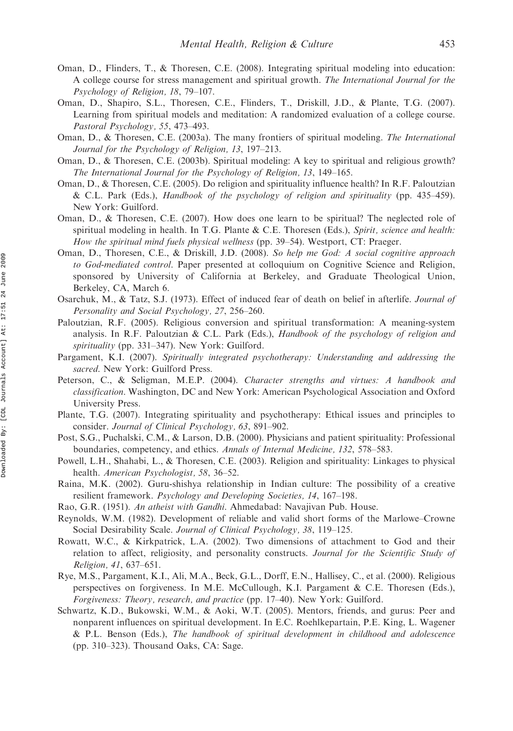- Oman, D., Flinders, T., & Thoresen, C.E. (2008). Integrating spiritual modeling into education: A college course for stress management and spiritual growth. The International Journal for the Psychology of Religion, 18, 79–107.
- Oman, D., Shapiro, S.L., Thoresen, C.E., Flinders, T., Driskill, J.D., & Plante, T.G. (2007). Learning from spiritual models and meditation: A randomized evaluation of a college course. Pastoral Psychology, 55, 473–493.
- Oman, D., & Thoresen, C.E. (2003a). The many frontiers of spiritual modeling. The International Journal for the Psychology of Religion, 13, 197–213.
- Oman, D., & Thoresen, C.E. (2003b). Spiritual modeling: A key to spiritual and religious growth? The International Journal for the Psychology of Religion, 13, 149–165.
- Oman, D., & Thoresen, C.E. (2005). Do religion and spirituality influence health? In R.F. Paloutzian & C.L. Park (Eds.), Handbook of the psychology of religion and spirituality (pp. 435–459). New York: Guilford.
- Oman, D., & Thoresen, C.E. (2007). How does one learn to be spiritual? The neglected role of spiritual modeling in health. In T.G. Plante & C.E. Thoresen (Eds.), Spirit, science and health: How the spiritual mind fuels physical wellness (pp. 39–54). Westport, CT: Praeger.
- Oman, D., Thoresen, C.E., & Driskill, J.D. (2008). So help me God: A social cognitive approach to God-mediated control. Paper presented at colloquium on Cognitive Science and Religion, sponsored by University of California at Berkeley, and Graduate Theological Union, Berkeley, CA, March 6.
- Osarchuk, M., & Tatz, S.J. (1973). Effect of induced fear of death on belief in afterlife. Journal of Personality and Social Psychology, 27, 256–260.
- Paloutzian, R.F. (2005). Religious conversion and spiritual transformation: A meaning-system analysis. In R.F. Paloutzian & C.L. Park (Eds.), Handbook of the psychology of religion and spirituality (pp. 331–347). New York: Guilford.
- Pargament, K.I. (2007). Spiritually integrated psychotherapy: Understanding and addressing the sacred. New York: Guilford Press.
- Peterson, C., & Seligman, M.E.P. (2004). Character strengths and virtues: A handbook and classification. Washington, DC and New York: American Psychological Association and Oxford University Press.
- Plante, T.G. (2007). Integrating spirituality and psychotherapy: Ethical issues and principles to consider. Journal of Clinical Psychology, 63, 891–902.
- Post, S.G., Puchalski, C.M., & Larson, D.B. (2000). Physicians and patient spirituality: Professional boundaries, competency, and ethics. Annals of Internal Medicine, 132, 578–583.
- Powell, L.H., Shahabi, L., & Thoresen, C.E. (2003). Religion and spirituality: Linkages to physical health. American Psychologist, 58, 36–52.
- Raina, M.K. (2002). Guru-shishya relationship in Indian culture: The possibility of a creative resilient framework. Psychology and Developing Societies, 14, 167–198.
- Rao, G.R. (1951). An atheist with Gandhi. Ahmedabad: Navajivan Pub. House.
- Reynolds, W.M. (1982). Development of reliable and valid short forms of the Marlowe–Crowne Social Desirability Scale. Journal of Clinical Psychology, 38, 119-125.
- Rowatt, W.C., & Kirkpatrick, L.A. (2002). Two dimensions of attachment to God and their relation to affect, religiosity, and personality constructs. Journal for the Scientific Study of Religion, 41, 637–651.
- Rye, M.S., Pargament, K.I., Ali, M.A., Beck, G.L., Dorff, E.N., Hallisey, C., et al. (2000). Religious perspectives on forgiveness. In M.E. McCullough, K.I. Pargament & C.E. Thoresen (Eds.), Forgiveness: Theory, research, and practice (pp. 17–40). New York: Guilford.
- Schwartz, K.D., Bukowski, W.M., & Aoki, W.T. (2005). Mentors, friends, and gurus: Peer and nonparent influences on spiritual development. In E.C. Roehlkepartain, P.E. King, L. Wagener & P.L. Benson (Eds.), The handbook of spiritual development in childhood and adolescence (pp. 310–323). Thousand Oaks, CA: Sage.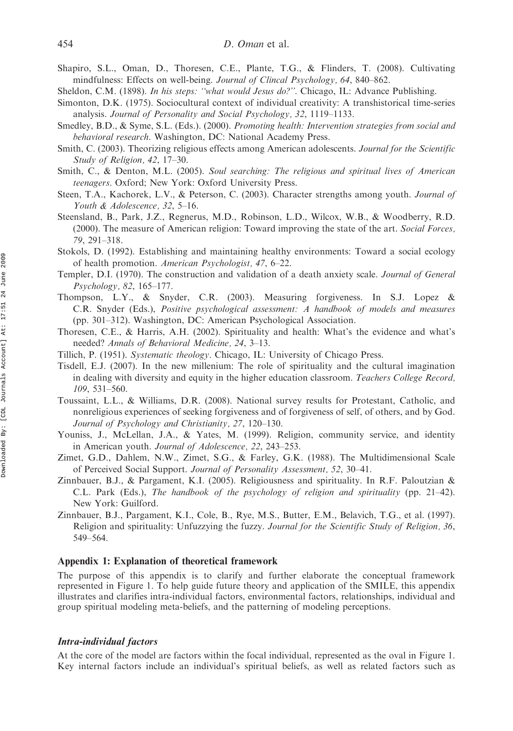- Shapiro, S.L., Oman, D., Thoresen, C.E., Plante, T.G., & Flinders, T. (2008). Cultivating mindfulness: Effects on well-being. Journal of Clincal Psychology, 64, 840–862.
- Sheldon, C.M. (1898). In his steps: "what would Jesus do?". Chicago, IL: Advance Publishing.
- Simonton, D.K. (1975). Sociocultural context of individual creativity: A transhistorical time-series analysis. Journal of Personality and Social Psychology, 32, 1119–1133.
- Smedley, B.D., & Syme, S.L. (Eds.). (2000). Promoting health: Intervention strategies from social and behavioral research. Washington, DC: National Academy Press.
- Smith, C. (2003). Theorizing religious effects among American adolescents. Journal for the Scientific Study of Religion, 42, 17–30.
- Smith, C., & Denton, M.L. (2005). Soul searching: The religious and spiritual lives of American teenagers. Oxford; New York: Oxford University Press.
- Steen, T.A., Kachorek, L.V., & Peterson, C. (2003). Character strengths among youth. Journal of Youth & Adolescence, 32, 5-16.
- Steensland, B., Park, J.Z., Regnerus, M.D., Robinson, L.D., Wilcox, W.B., & Woodberry, R.D. (2000). The measure of American religion: Toward improving the state of the art. Social Forces, 79, 291–318.
- Stokols, D. (1992). Establishing and maintaining healthy environments: Toward a social ecology of health promotion. American Psychologist, 47, 6–22.
- Templer, D.I. (1970). The construction and validation of a death anxiety scale. Journal of General Psychology, 82, 165–177.
- Thompson, L.Y., & Snyder, C.R. (2003). Measuring forgiveness. In S.J. Lopez & C.R. Snyder (Eds.), Positive psychological assessment: A handbook of models and measures (pp. 301–312). Washington, DC: American Psychological Association.
- Thoresen, C.E., & Harris, A.H. (2002). Spirituality and health: What's the evidence and what's needed? Annals of Behavioral Medicine, 24, 3–13.
- Tillich, P. (1951). Systematic theology. Chicago, IL: University of Chicago Press.
- Tisdell, E.J. (2007). In the new millenium: The role of spirituality and the cultural imagination in dealing with diversity and equity in the higher education classroom. Teachers College Record, 109, 531–560.
- Toussaint, L.L., & Williams, D.R. (2008). National survey results for Protestant, Catholic, and nonreligious experiences of seeking forgiveness and of forgiveness of self, of others, and by God. Journal of Psychology and Christianity, 27, 120–130.
- Youniss, J., McLellan, J.A., & Yates, M. (1999). Religion, community service, and identity in American youth. Journal of Adolescence, 22, 243–253.
- Zimet, G.D., Dahlem, N.W., Zimet, S.G., & Farley, G.K. (1988). The Multidimensional Scale of Perceived Social Support. Journal of Personality Assessment, 52, 30–41.
- Zinnbauer, B.J., & Pargament, K.I. (2005). Religiousness and spirituality. In R.F. Paloutzian & C.L. Park (Eds.), The handbook of the psychology of religion and spirituality (pp. 21–42). New York: Guilford.
- Zinnbauer, B.J., Pargament, K.I., Cole, B., Rye, M.S., Butter, E.M., Belavich, T.G., et al. (1997). Religion and spirituality: Unfuzzying the fuzzy. Journal for the Scientific Study of Religion, 36, 549–564.

### Appendix 1: Explanation of theoretical framework

The purpose of this appendix is to clarify and further elaborate the conceptual framework represented in Figure 1. To help guide future theory and application of the SMILE, this appendix illustrates and clarifies intra-individual factors, environmental factors, relationships, individual and group spiritual modeling meta-beliefs, and the patterning of modeling perceptions.

## Intra-individual factors

At the core of the model are factors within the focal individual, represented as the oval in Figure 1. Key internal factors include an individual's spiritual beliefs, as well as related factors such as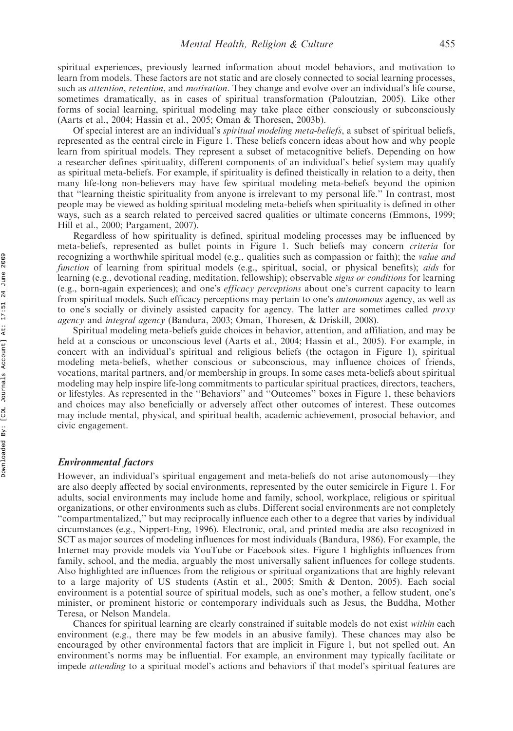spiritual experiences, previously learned information about model behaviors, and motivation to learn from models. These factors are not static and are closely connected to social learning processes, such as *attention*, *retention*, and *motivation*. They change and evolve over an individual's life course, sometimes dramatically, as in cases of spiritual transformation (Paloutzian, 2005). Like other forms of social learning, spiritual modeling may take place either consciously or subconsciously (Aarts et al., 2004; Hassin et al., 2005; Oman & Thoresen, 2003b).

Of special interest are an individual's spiritual modeling meta-beliefs, a subset of spiritual beliefs, represented as the central circle in Figure 1. These beliefs concern ideas about how and why people learn from spiritual models. They represent a subset of metacognitive beliefs. Depending on how a researcher defines spirituality, different components of an individual's belief system may qualify as spiritual meta-beliefs. For example, if spirituality is defined theistically in relation to a deity, then many life-long non-believers may have few spiritual modeling meta-beliefs beyond the opinion that ''learning theistic spirituality from anyone is irrelevant to my personal life.'' In contrast, most people may be viewed as holding spiritual modeling meta-beliefs when spirituality is defined in other ways, such as a search related to perceived sacred qualities or ultimate concerns (Emmons, 1999; Hill et al., 2000; Pargament, 2007).

Regardless of how spirituality is defined, spiritual modeling processes may be influenced by meta-beliefs, represented as bullet points in Figure 1. Such beliefs may concern criteria for recognizing a worthwhile spiritual model (e.g., qualities such as compassion or faith); the value and function of learning from spiritual models (e.g., spiritual, social, or physical benefits); *aids* for learning (e.g., devotional reading, meditation, fellowship); observable signs or conditions for learning (e.g., born-again experiences); and one's efficacy perceptions about one's current capacity to learn from spiritual models. Such efficacy perceptions may pertain to one's autonomous agency, as well as to one's socially or divinely assisted capacity for agency. The latter are sometimes called proxy agency and integral agency (Bandura, 2003; Oman, Thoresen, & Driskill, 2008).

Spiritual modeling meta-beliefs guide choices in behavior, attention, and affiliation, and may be held at a conscious or unconscious level (Aarts et al., 2004; Hassin et al., 2005). For example, in concert with an individual's spiritual and religious beliefs (the octagon in Figure 1), spiritual modeling meta-beliefs, whether conscious or subconscious, may influence choices of friends, vocations, marital partners, and/or membership in groups. In some cases meta-beliefs about spiritual modeling may help inspire life-long commitments to particular spiritual practices, directors, teachers, or lifestyles. As represented in the ''Behaviors'' and ''Outcomes'' boxes in Figure 1, these behaviors and choices may also beneficially or adversely affect other outcomes of interest. These outcomes may include mental, physical, and spiritual health, academic achievement, prosocial behavior, and civic engagement.

#### Environmental factors

However, an individual's spiritual engagement and meta-beliefs do not arise autonomously—they are also deeply affected by social environments, represented by the outer semicircle in Figure 1. For adults, social environments may include home and family, school, workplace, religious or spiritual organizations, or other environments such as clubs. Different social environments are not completely ''compartmentalized,'' but may reciprocally influence each other to a degree that varies by individual circumstances (e.g., Nippert-Eng, 1996). Electronic, oral, and printed media are also recognized in SCT as major sources of modeling influences for most individuals (Bandura, 1986). For example, the Internet may provide models via YouTube or Facebook sites. Figure 1 highlights influences from family, school, and the media, arguably the most universally salient influences for college students. Also highlighted are influences from the religious or spiritual organizations that are highly relevant to a large majority of US students (Astin et al., 2005; Smith & Denton, 2005). Each social environment is a potential source of spiritual models, such as one's mother, a fellow student, one's minister, or prominent historic or contemporary individuals such as Jesus, the Buddha, Mother Teresa, or Nelson Mandela.

Chances for spiritual learning are clearly constrained if suitable models do not exist within each environment (e.g., there may be few models in an abusive family). These chances may also be encouraged by other environmental factors that are implicit in Figure 1, but not spelled out. An environment's norms may be influential. For example, an environment may typically facilitate or impede attending to a spiritual model's actions and behaviors if that model's spiritual features are